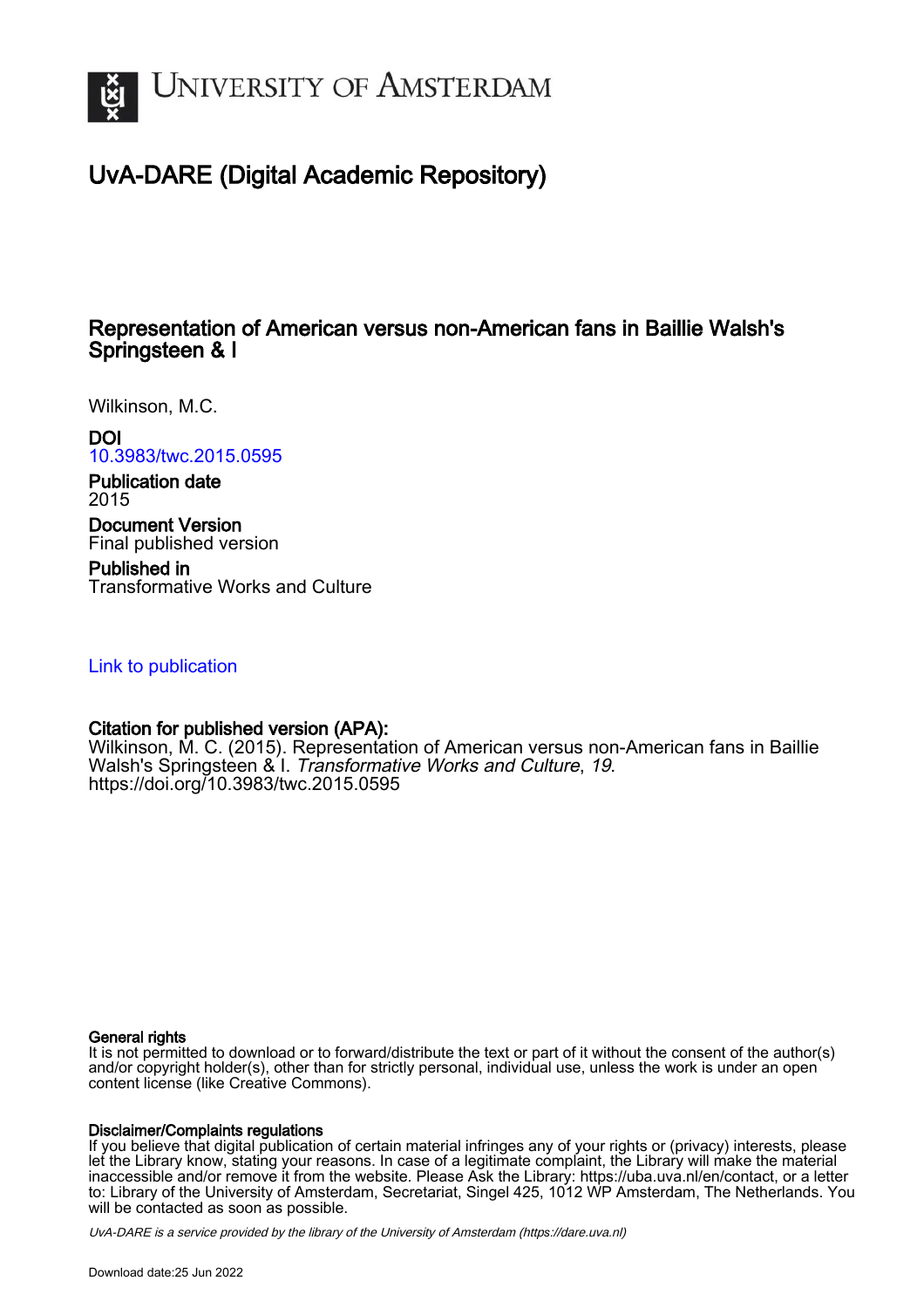

### UvA-DARE (Digital Academic Repository)

#### Representation of American versus non-American fans in Baillie Walsh's Springsteen & I

Wilkinson, M.C.

DOI

[10.3983/twc.2015.0595](https://doi.org/10.3983/twc.2015.0595)

Publication date 2015

Document Version Final published version

Published in Transformative Works and Culture

#### [Link to publication](https://dare.uva.nl/personal/pure/en/publications/representation-of-american-versus-nonamerican-fans-in-baillie-walshs-springsteen--i(e30d0afc-ab74-4520-91c9-9e2df4f16d56).html)

#### Citation for published version (APA):

Wilkinson, M. C. (2015). Representation of American versus non-American fans in Baillie Walsh's Springsteen & I. Transformative Works and Culture, 19. <https://doi.org/10.3983/twc.2015.0595>

#### General rights

It is not permitted to download or to forward/distribute the text or part of it without the consent of the author(s) and/or copyright holder(s), other than for strictly personal, individual use, unless the work is under an open content license (like Creative Commons).

#### Disclaimer/Complaints regulations

If you believe that digital publication of certain material infringes any of your rights or (privacy) interests, please let the Library know, stating your reasons. In case of a legitimate complaint, the Library will make the material inaccessible and/or remove it from the website. Please Ask the Library: https://uba.uva.nl/en/contact, or a letter to: Library of the University of Amsterdam, Secretariat, Singel 425, 1012 WP Amsterdam, The Netherlands. You will be contacted as soon as possible.

UvA-DARE is a service provided by the library of the University of Amsterdam (http*s*://dare.uva.nl)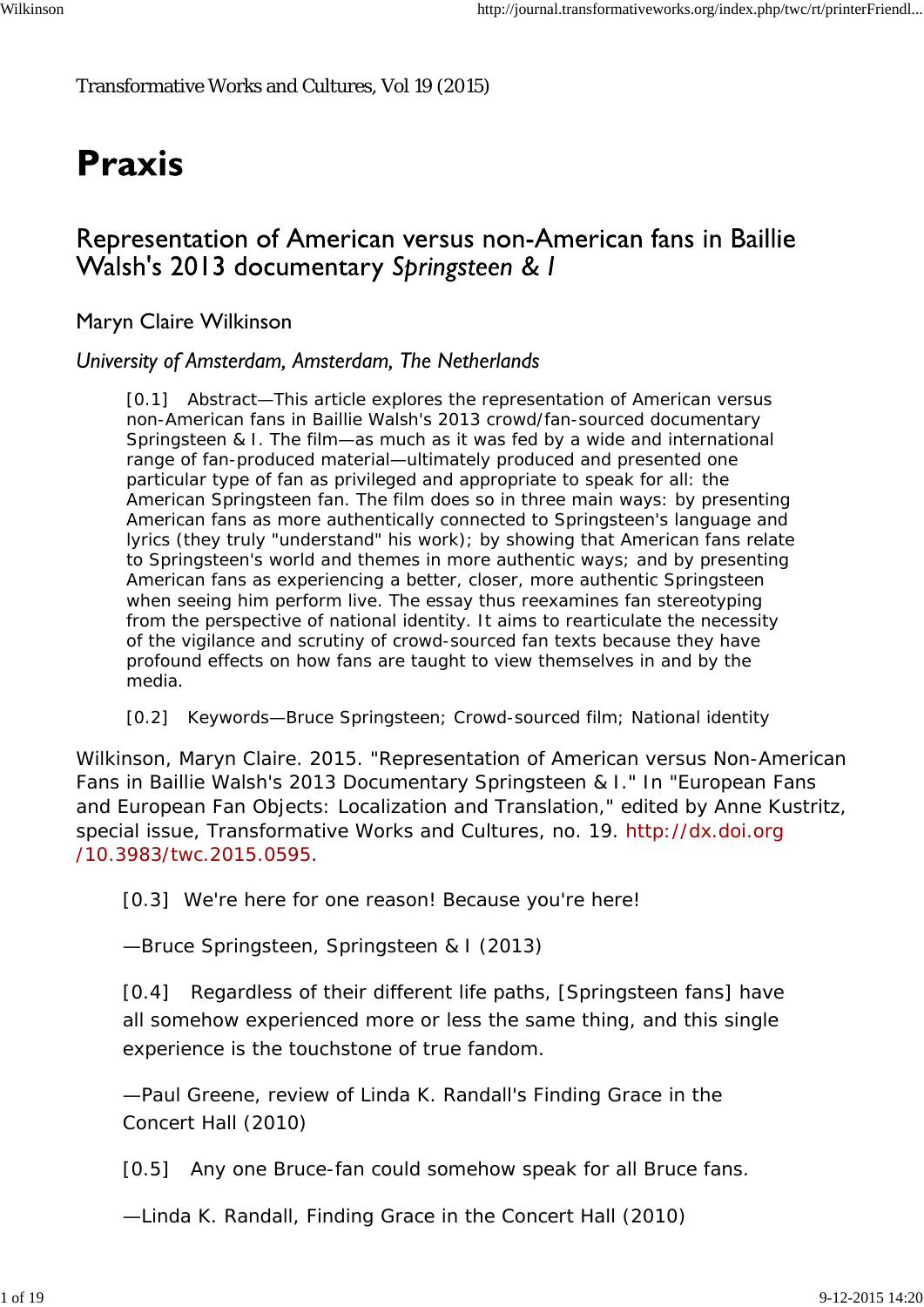Transformative Works and Cultures, Vol 19 (2015)

# **Praxis**

### Representation of American versus non-American fans in Baillie Walsh's 2013 documentary Springsteen & I

#### Maryn Claire Wilkinson

#### *University of Amsterdam, Amsterdam, The Netherlands*

[0.1] *Abstract—*This article explores the representation of American versus non-American fans in Baillie Walsh's 2013 crowd/fan-sourced documentary *Springsteen & I.* The film—as much as it was fed by a wide and international range of fan-produced material—ultimately produced and presented one particular type of fan as privileged and appropriate to speak for all: the American Springsteen fan. The film does so in three main ways: by presenting American fans as more authentically connected to Springsteen's language and lyrics (they truly "understand" his work); by showing that American fans relate to Springsteen's world and themes in more authentic ways; and by presenting American fans as experiencing a better, closer, more authentic Springsteen when seeing him perform live. The essay thus reexamines fan stereotyping from the perspective of national identity. It aims to rearticulate the necessity of the vigilance and scrutiny of crowd-sourced fan texts because they have profound effects on how fans are taught to view themselves in and by the media.

[0.2] *Keywords—*Bruce Springsteen; Crowd-sourced film; National identity

Wilkinson, Maryn Claire. 2015. "Representation of American versus Non-American Fans in Baillie Walsh's 2013 Documentary *Springsteen & I.*" In "European Fans and European Fan Objects: Localization and Translation," edited by Anne Kustritz, special issue, *Transformative Works and Cultures,* no. 19. http://dx.doi.org /10.3983/twc.2015.0595.

[0.3] We're here for one reason! Because *you're* here!

—Bruce Springsteen, *Springsteen & I* (2013)

[0.4] Regardless of their different life paths, [Springsteen fans] have all somehow experienced more or less the same thing, and this single experience is the touchstone of true fandom.

—Paul Greene, review of Linda K. Randall's *Finding Grace in the Concert Hall* (2010)

[0.5] Any one Bruce-fan could somehow speak for *all* Bruce fans.

—Linda K. Randall, *Finding Grace in the Concert Hall* (2010)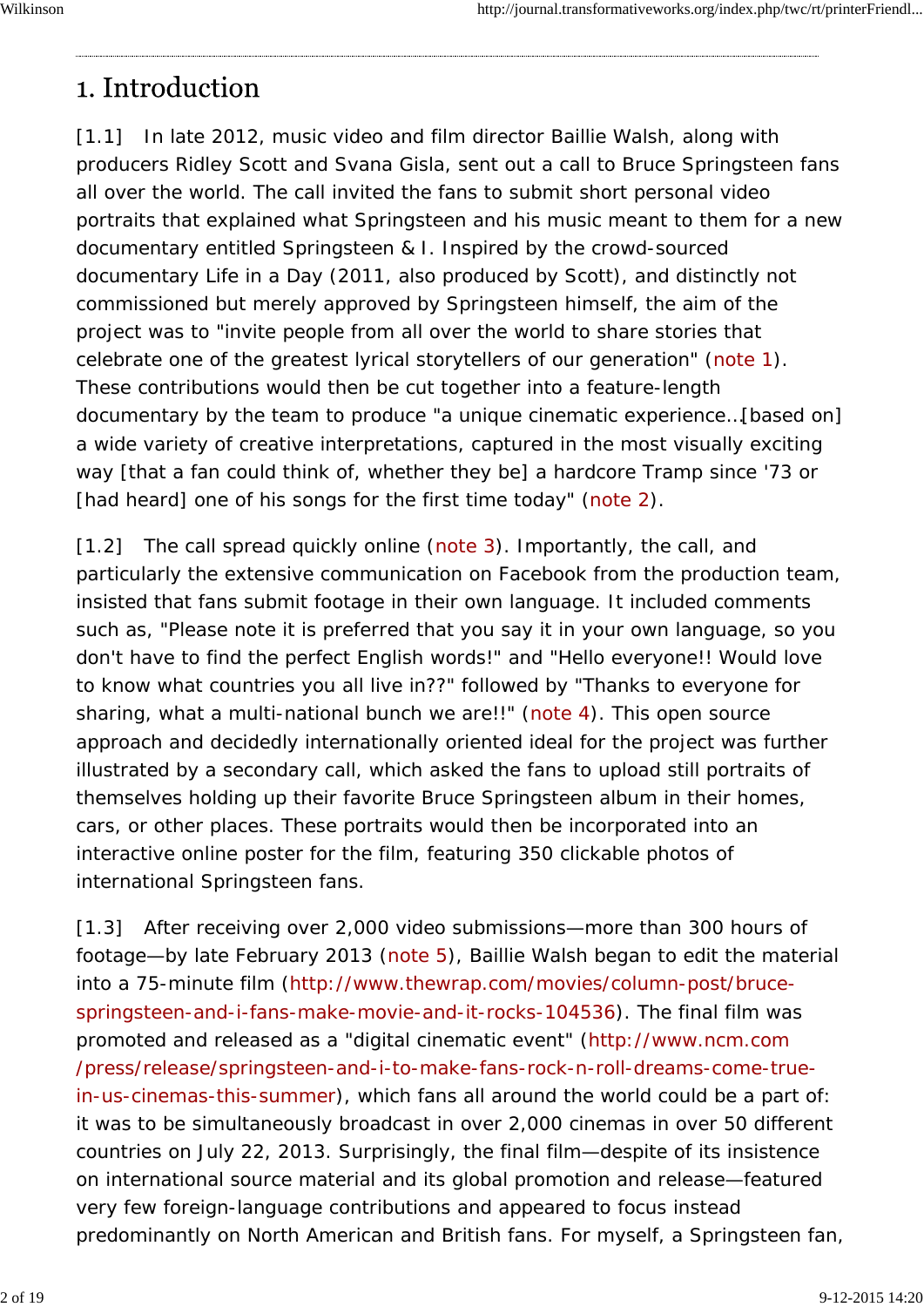# 1. Introduction

[1.1] In late 2012, music video and film director Baillie Walsh, along with producers Ridley Scott and Svana Gisla, sent out a call to Bruce Springsteen fans all over the world. The call invited the fans to submit short personal video portraits that explained what Springsteen and his music meant to them for a new documentary entitled *Springsteen & I*. Inspired by the crowd-sourced documentary *Life in a Day* (2011, also produced by Scott), and distinctly not commissioned but merely approved by Springsteen himself, the aim of the project was to "invite people from all over the world to share stories that celebrate one of the greatest lyrical storytellers of our generation" (note 1). These contributions would then be cut together into a feature-length documentary by the team to produce "a unique cinematic experience…[based on] a wide variety of creative interpretations, captured in the most visually exciting way [that a fan could think of, whether they be] a hardcore Tramp since '73 or [had heard] one of his songs for the first time today" (note 2).

[1.2] The call spread quickly online (note 3). Importantly, the call, and particularly the extensive communication on Facebook from the production team, insisted that fans submit footage in their own language. It included comments such as, "Please note it is preferred that you say it in your own language, so you don't have to find the perfect English words!" and "Hello everyone!! Would love to know what countries you all live in??" followed by "Thanks to everyone for sharing, what a multi-national bunch we are!!" (note 4). This open source approach and decidedly internationally oriented ideal for the project was further illustrated by a secondary call, which asked the fans to upload still portraits of themselves holding up their favorite Bruce Springsteen album in their homes, cars, or other places. These portraits would then be incorporated into an interactive online poster for the film, featuring 350 clickable photos of international Springsteen fans.

[1.3] After receiving over 2,000 video submissions—more than 300 hours of footage—by late February 2013 (note 5), Baillie Walsh began to edit the material into a 75-minute film (http://www.thewrap.com/movies/column-post/brucespringsteen-and-i-fans-make-movie-and-it-rocks-104536). The final film was promoted and released as a "digital cinematic event" (http://www.ncm.com /press/release/springsteen-and-i-to-make-fans-rock-n-roll-dreams-come-truein-us-cinemas-this-summer), which fans all around the world could be a part of: it was to be simultaneously broadcast in over 2,000 cinemas in over 50 different countries on July 22, 2013. Surprisingly, the final film—despite of its insistence on international source material and its global promotion and release—featured very few foreign-language contributions and appeared to focus instead predominantly on North American and British fans. For myself, a Springsteen fan,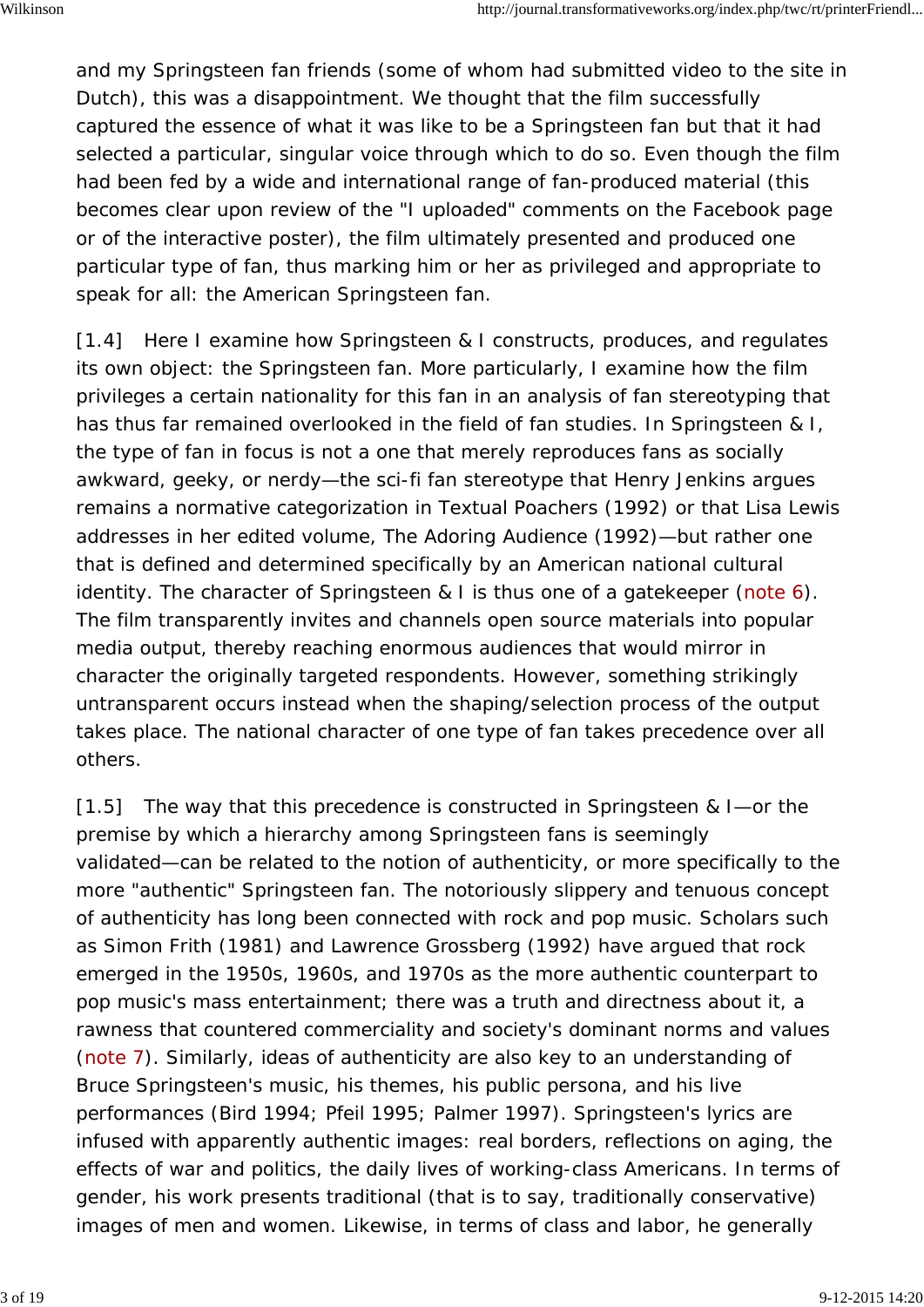and my Springsteen fan friends (some of whom had submitted video to the site in Dutch), this was a disappointment. We thought that the film successfully captured the essence of what it was like to be a Springsteen fan but that it had selected a particular, singular voice through which to do so. Even though the film had been fed by a wide and international range of fan-produced material (this becomes clear upon review of the "I uploaded" comments on the Facebook page or of the interactive poster), the film ultimately presented and produced one particular type of fan, thus marking him or her as privileged and appropriate to speak for all: the American Springsteen fan.

[1.4] Here I examine how *Springsteen & I* constructs, produces, and regulates its own object: the Springsteen fan. More particularly, I examine how the film privileges a certain nationality for this fan in an analysis of fan stereotyping that has thus far remained overlooked in the field of fan studies. In *Springsteen & I,* the type of fan in focus is not a one that merely reproduces fans as socially awkward, geeky, or nerdy—the sci-fi fan stereotype that Henry Jenkins argues remains a normative categorization in *Textual Poachers* (1992) or that Lisa Lewis addresses in her edited volume, *The Adoring Audience* (1992)—but rather one that is defined and determined specifically by an American national cultural identity. The character of *Springsteen & I* is thus one of a gatekeeper (note 6). The film transparently invites and channels open source materials into popular media output, thereby reaching enormous audiences that would mirror in character the originally targeted respondents. However, something strikingly untransparent occurs instead when the shaping/selection process of the output takes place. The national character of one type of fan takes precedence over all others.

[1.5] The way that this precedence is constructed in *Springsteen & I*—or the premise by which a hierarchy among Springsteen fans is seemingly validated—can be related to the notion of authenticity, or more specifically to the more "authentic" Springsteen fan. The notoriously slippery and tenuous concept of authenticity has long been connected with rock and pop music. Scholars such as Simon Frith (1981) and Lawrence Grossberg (1992) have argued that rock emerged in the 1950s, 1960s, and 1970s as the more authentic counterpart to pop music's mass entertainment; there was a truth and directness about it, a rawness that countered commerciality and society's dominant norms and values (note 7). Similarly, ideas of authenticity are also key to an understanding of Bruce Springsteen's music, his themes, his public persona, and his live performances (Bird 1994; Pfeil 1995; Palmer 1997). Springsteen's lyrics are infused with apparently authentic images: real borders, reflections on aging, the effects of war and politics, the daily lives of working-class Americans. In terms of gender, his work presents traditional (that is to say, traditionally conservative) images of men and women. Likewise, in terms of class and labor, he generally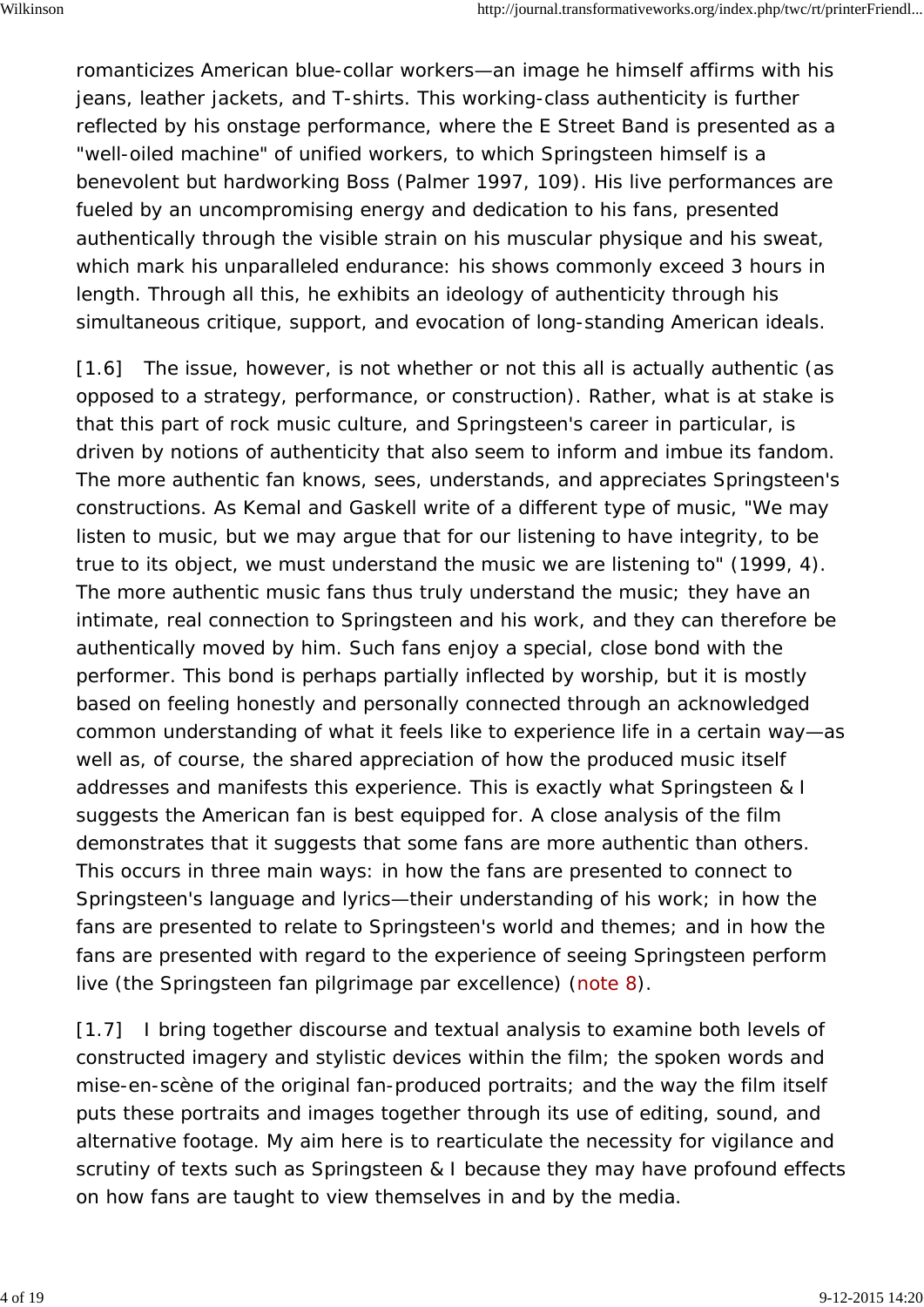romanticizes American blue-collar workers—an image he himself affirms with his jeans, leather jackets, and T-shirts. This working-class authenticity is further reflected by his onstage performance, where the E Street Band is presented as a "well-oiled machine" of unified workers, to which Springsteen himself is a benevolent but hardworking Boss (Palmer 1997, 109). His live performances are fueled by an uncompromising energy and dedication to his fans, presented authentically through the visible strain on his muscular physique and his sweat, which mark his unparalleled endurance: his shows commonly exceed 3 hours in length. Through all this, he exhibits an ideology of authenticity through his simultaneous critique, support, and evocation of long-standing American ideals.

[1.6] The issue, however, is not whether or not this all is actually authentic (as opposed to a strategy, performance, or construction). Rather, what is at stake is that this part of rock music culture, and Springsteen's career in particular, is driven by notions of authenticity that also seem to inform and imbue its fandom. The more authentic fan knows, sees, understands, and appreciates Springsteen's constructions. As Kemal and Gaskell write of a different type of music, "We may listen to music, but we may argue that for our listening to have integrity, to be true to its object, we must understand the music we are listening to" (1999, 4). The more authentic music fans thus truly understand the music; they have an intimate, real connection to Springsteen and his work, and they can therefore be authentically moved by him. Such fans enjoy a special, close bond with the performer. This bond is perhaps partially inflected by worship, but it is mostly based on feeling honestly and personally connected through an acknowledged common understanding of what it feels like to experience life in a certain way—as well as, of course, the shared appreciation of how the produced music itself addresses and manifests this experience. This is exactly what *Springsteen & I* suggests the American fan is best equipped for. A close analysis of the film demonstrates that it suggests that some fans are more authentic than others. This occurs in three main ways: in how the fans are presented to connect to Springsteen's language and lyrics—their understanding of his work; in how the fans are presented to relate to Springsteen's world and themes; and in how the fans are presented with regard to the experience of seeing Springsteen perform live (the Springsteen fan pilgrimage par excellence) (note 8).

[1.7] I bring together discourse and textual analysis to examine both levels of constructed imagery and stylistic devices within the film; the spoken words and mise-en-scène of the original fan-produced portraits; and the way the film itself puts these portraits and images together through its use of editing, sound, and alternative footage. My aim here is to rearticulate the necessity for vigilance and scrutiny of texts such as *Springsteen & I* because they may have profound effects on how fans are taught to view themselves in and by the media.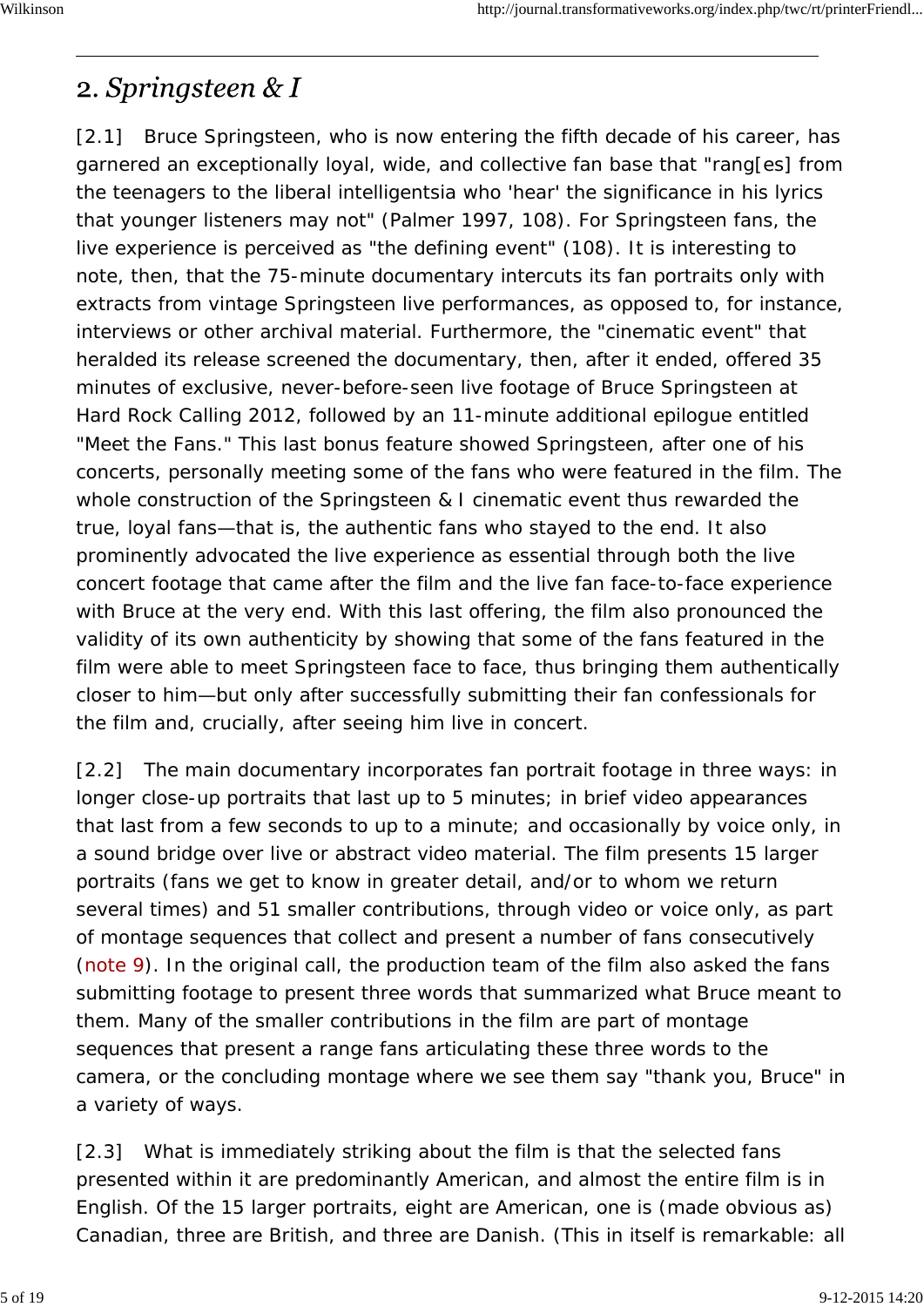# 2. Springsteen & I

[2.1] Bruce Springsteen, who is now entering the fifth decade of his career, has garnered an exceptionally loyal, wide, and collective fan base that "rang[es] from the teenagers to the liberal intelligentsia who 'hear' the significance in his lyrics that younger listeners may not" (Palmer 1997, 108). For Springsteen fans, the live experience is perceived as "the defining event" (108). It is interesting to note, then, that the 75-minute documentary intercuts its fan portraits only with extracts from vintage Springsteen live performances, as opposed to, for instance, interviews or other archival material. Furthermore, the "cinematic event" that heralded its release screened the documentary, then, after it ended, offered 35 minutes of exclusive, never-before-seen live footage of Bruce Springsteen at Hard Rock Calling 2012, followed by an 11-minute additional epilogue entitled "Meet the Fans." This last bonus feature showed Springsteen, after one of his concerts, personally meeting some of the fans who were featured in the film. The whole construction of the *Springsteen & I* cinematic event thus rewarded the true, loyal fans—that is, the authentic fans who stayed to the end. It also prominently advocated the live experience as essential through both the live concert footage that came after the film and the live fan face-to-face experience with Bruce at the very end. With this last offering, the film also pronounced the validity of its own authenticity by showing that some of the fans featured in the film were able to meet Springsteen face to face, thus bringing them authentically closer to him—but only after successfully submitting their fan confessionals for the film and, crucially, after seeing him live in concert.

[2.2] The main documentary incorporates fan portrait footage in three ways: in longer close-up portraits that last up to 5 minutes; in brief video appearances that last from a few seconds to up to a minute; and occasionally by voice only, in a sound bridge over live or abstract video material. The film presents 15 larger portraits (fans we get to know in greater detail, and/or to whom we return several times) and 51 smaller contributions, through video or voice only, as part of montage sequences that collect and present a number of fans consecutively (note 9). In the original call, the production team of the film also asked the fans submitting footage to present three words that summarized what Bruce meant to them. Many of the smaller contributions in the film are part of montage sequences that present a range fans articulating these three words to the camera, or the concluding montage where we see them say "thank you, Bruce" in a variety of ways.

[2.3] What is immediately striking about the film is that the selected fans presented within it are predominantly American, and almost the entire film is in English. Of the 15 larger portraits, eight are American, one is (made obvious as) Canadian, three are British, and three are Danish. (This in itself is remarkable: all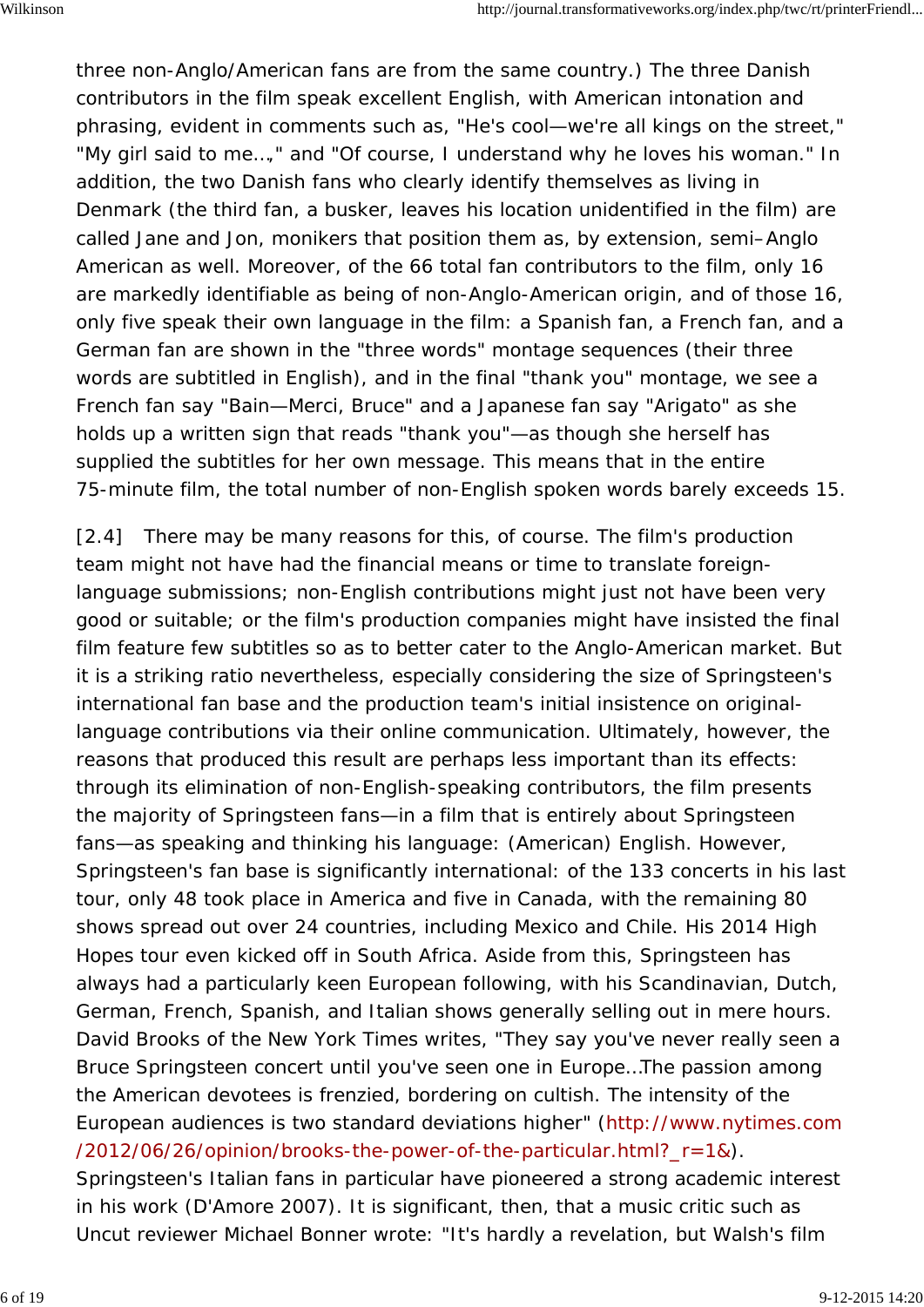three non-Anglo/American fans are from the same country.) The three Danish contributors in the film speak excellent English, with American intonation and phrasing, evident in comments such as, "He's cool—we're all kings on the street," "My girl said to me…," and "Of course, I understand why he loves his woman." In addition, the two Danish fans who clearly identify themselves as living in Denmark (the third fan, a busker, leaves his location unidentified in the film) are called Jane and Jon, monikers that position them as, by extension, semi–Anglo American as well. Moreover, of the 66 total fan contributors to the film, only 16 are markedly identifiable as being of non-Anglo-American origin, and of those 16, only five speak their own language in the film: a Spanish fan, a French fan, and a German fan are shown in the "three words" montage sequences (their three words are subtitled in English), and in the final "thank you" montage, we see a French fan say "Bain—Merci, Bruce" and a Japanese fan say "Arigato" as she holds up a written sign that reads "thank you"—as though she herself has supplied the subtitles for her own message. This means that in the entire 75-minute film, the total number of non-English spoken words barely exceeds 15.

[2.4] There may be many reasons for this, of course. The film's production team might not have had the financial means or time to translate foreignlanguage submissions; non-English contributions might just not have been very good or suitable; or the film's production companies might have insisted the final film feature few subtitles so as to better cater to the Anglo-American market. But it is a striking ratio nevertheless, especially considering the size of Springsteen's international fan base and the production team's initial insistence on originallanguage contributions via their online communication. Ultimately, however, the reasons that produced this result are perhaps less important than its effects: through its elimination of non-English-speaking contributors, the film presents the majority of Springsteen fans—in a film that is entirely about Springsteen fans—as speaking and thinking his language: (American) English. However, Springsteen's fan base is significantly international: of the 133 concerts in his last tour, only 48 took place in America and five in Canada, with the remaining 80 shows spread out over 24 countries, including Mexico and Chile. His 2014 High Hopes tour even kicked off in South Africa. Aside from this, Springsteen has always had a particularly keen European following, with his Scandinavian, Dutch, German, French, Spanish, and Italian shows generally selling out in mere hours. David Brooks of the *New York Times* writes, "They say you've never really seen a Bruce Springsteen concert until you've seen one in Europe…The passion among the American devotees is frenzied, bordering on cultish. The intensity of the European audiences is two standard deviations higher" (http://www.nytimes.com /2012/06/26/opinion/brooks-the-power-of-the-particular.html?\_r=1&). Springsteen's Italian fans in particular have pioneered a strong academic interest in his work (D'Amore 2007). It is significant, then, that a music critic such as *Uncut* reviewer Michael Bonner wrote: "It's hardly a revelation, but Walsh's film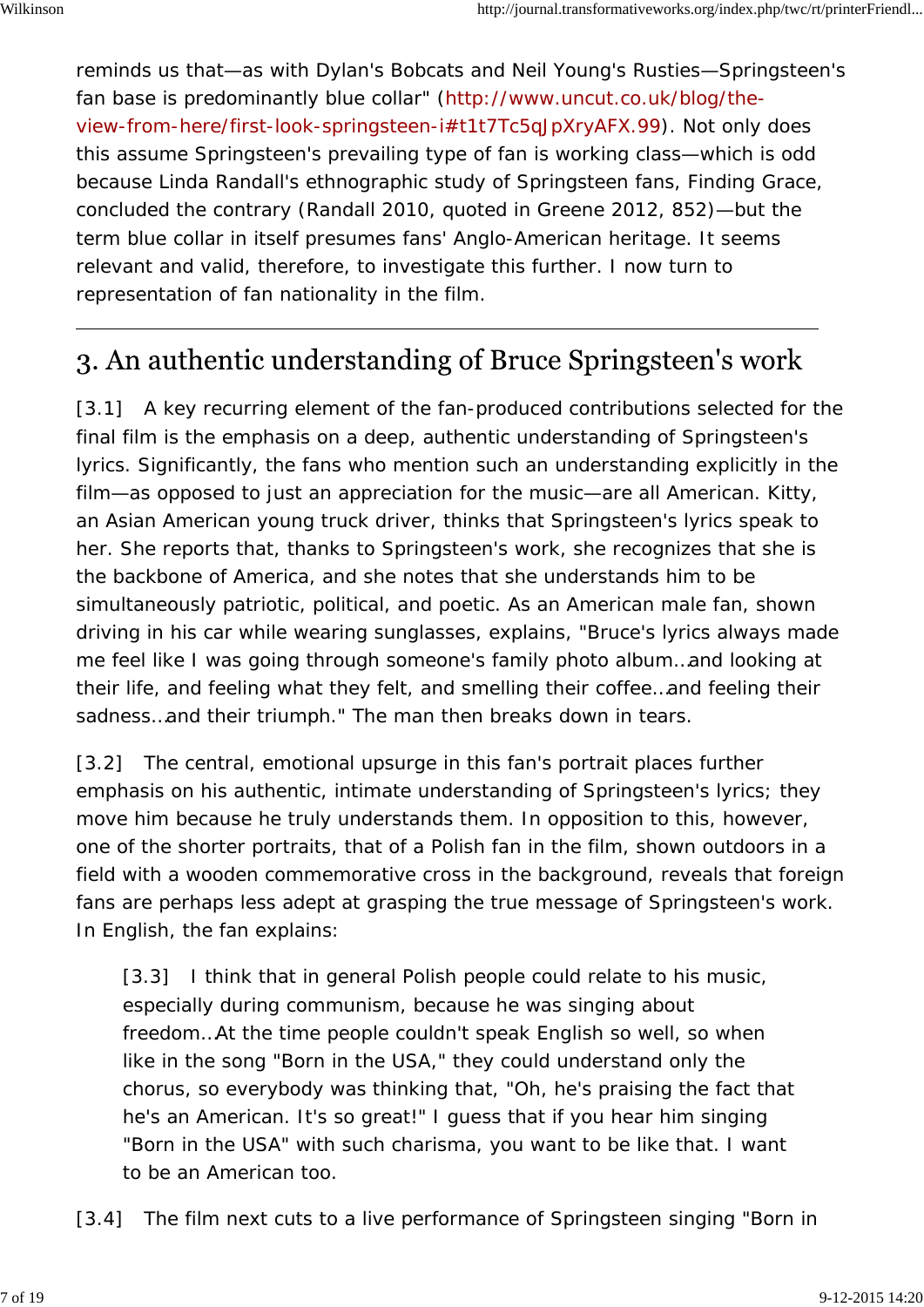reminds us that—as with Dylan's Bobcats and Neil Young's Rusties—Springsteen's fan base is predominantly blue collar" (http://www.uncut.co.uk/blog/theview-from-here/first-look-springsteen-i#t1t7Tc5qJpXryAFX.99). Not only does this assume Springsteen's prevailing type of fan is working class—which is odd because Linda Randall's ethnographic study of Springsteen fans, *Finding Grace,* concluded the contrary (Randall 2010, quoted in Greene 2012, 852)—but the term *blue collar* in itself presumes fans' Anglo-American heritage. It seems relevant and valid, therefore, to investigate this further. I now turn to representation of fan nationality in the film.

# 3. An authentic understanding of Bruce Springsteen's work

[3.1] A key recurring element of the fan-produced contributions selected for the final film is the emphasis on a deep, authentic understanding of Springsteen's lyrics. Significantly, the fans who mention such an understanding explicitly in the film—as opposed to just an appreciation for the music—are all American. Kitty, an Asian American young truck driver, thinks that Springsteen's lyrics speak to her. She reports that, thanks to Springsteen's work, she recognizes that she is the backbone of America, and she notes that she understands him to be simultaneously patriotic, political, and poetic. As an American male fan, shown driving in his car while wearing sunglasses, explains, "Bruce's lyrics always made me feel like I was going through someone's family photo album…and looking at their life, and feeling what they felt, and smelling their coffee…and feeling their sadness…and their triumph." The man then breaks down in tears.

[3.2] The central, emotional upsurge in this fan's portrait places further emphasis on his authentic, intimate understanding of Springsteen's lyrics; they move him because he truly understands them. In opposition to this, however, one of the shorter portraits, that of a Polish fan in the film, shown outdoors in a field with a wooden commemorative cross in the background, reveals that foreign fans are perhaps less adept at grasping the true message of Springsteen's work. In English, the fan explains:

[3.3] I think that in general Polish people could relate to his music, especially during communism, because he was singing about freedom…At the time people couldn't speak English so well, so when like in the song "Born in the USA," they could understand only the chorus, so everybody was thinking that, "Oh, he's praising the fact that he's an American. It's so great!" I guess that if you hear him singing "Born in the USA" with such charisma, you want to be like that. I want to be an American too.

[3.4] The film next cuts to a live performance of Springsteen singing "Born in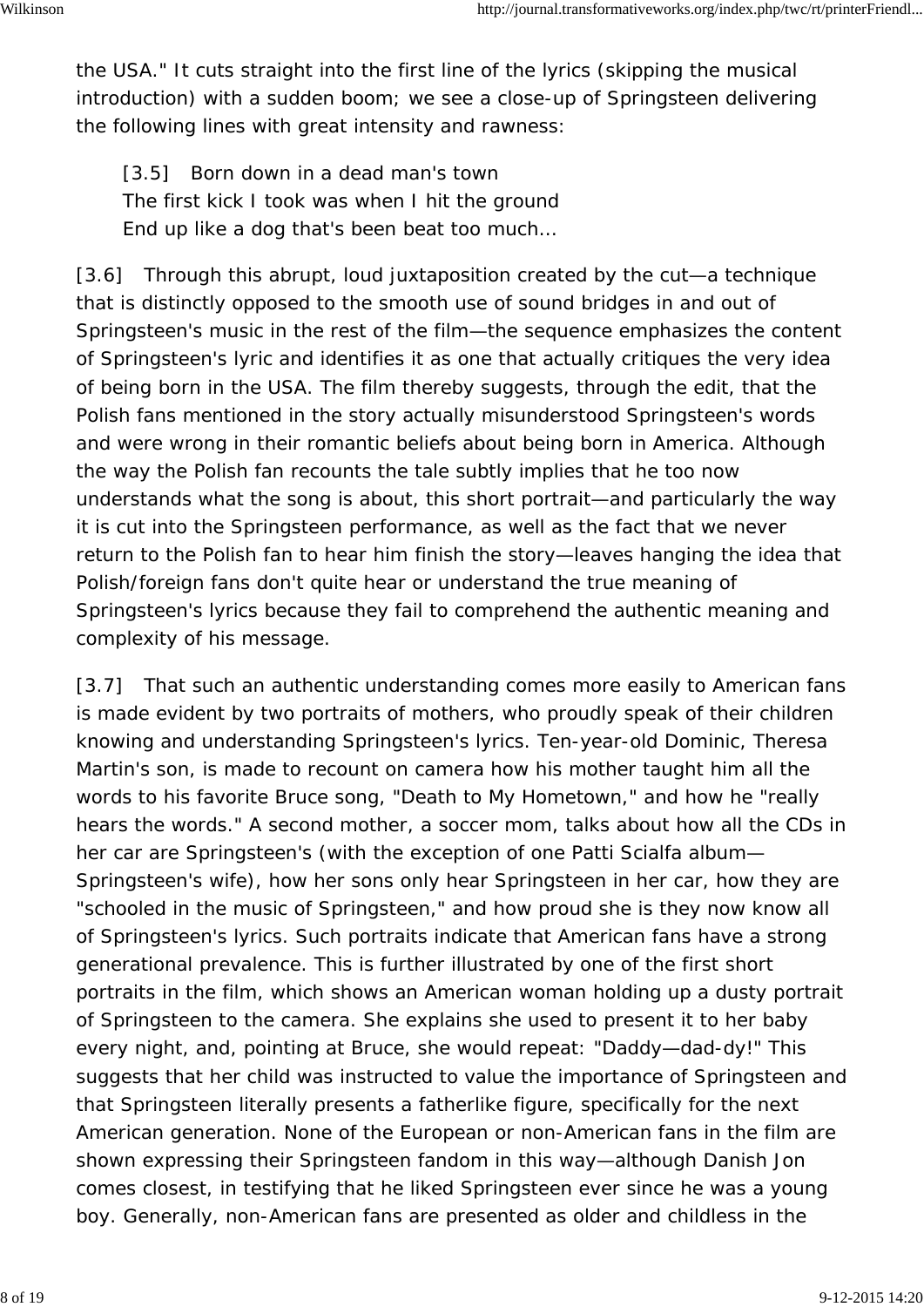the USA." It cuts straight into the first line of the lyrics (skipping the musical introduction) with a sudden boom; we see a close-up of Springsteen delivering the following lines with great intensity and rawness:

[3.5] Born down in a dead man's town The first kick I took was when I hit the ground End up like a dog that's been beat too much…

[3.6] Through this abrupt, loud juxtaposition created by the cut—a technique that is distinctly opposed to the smooth use of sound bridges in and out of Springsteen's music in the rest of the film—the sequence emphasizes the content of Springsteen's lyric and identifies it as one that actually critiques the very idea of being born in the USA. The film thereby suggests, through the edit, that the Polish fans mentioned in the story actually misunderstood Springsteen's words and were wrong in their romantic beliefs about being born in America. Although the way the Polish fan recounts the tale subtly implies that he too now understands what the song is about, this short portrait—and particularly the way it is cut into the Springsteen performance, as well as the fact that we never return to the Polish fan to hear him finish the story—leaves hanging the idea that Polish/foreign fans don't quite hear or understand the true meaning of Springsteen's lyrics because they fail to comprehend the authentic meaning and complexity of his message.

[3.7] That such an authentic understanding comes more easily to American fans is made evident by two portraits of mothers, who proudly speak of their children knowing and understanding Springsteen's lyrics. Ten-year-old Dominic, Theresa Martin's son, is made to recount on camera how his mother taught him all the words to his favorite Bruce song, "Death to My Hometown," and how he "*really* hears the words." A second mother, a soccer mom, talks about how all the CDs in her car are Springsteen's (with the exception of one Patti Scialfa album— Springsteen's wife), how her sons only hear Springsteen in her car, how they are "schooled in the music of Springsteen," and how proud she is they now know all of Springsteen's lyrics. Such portraits indicate that American fans have a strong generational prevalence. This is further illustrated by one of the first short portraits in the film, which shows an American woman holding up a dusty portrait of Springsteen to the camera. She explains she used to present it to her baby every night, and, pointing at Bruce, she would repeat: "Daddy—dad-dy!" This suggests that her child was instructed to value the importance of Springsteen and that Springsteen literally presents a fatherlike figure, specifically for the next American generation. None of the European or non-American fans in the film are shown expressing their Springsteen fandom in this way—although Danish Jon comes closest, in testifying that he liked Springsteen ever since he was a young boy. Generally, non-American fans are presented as older and childless in the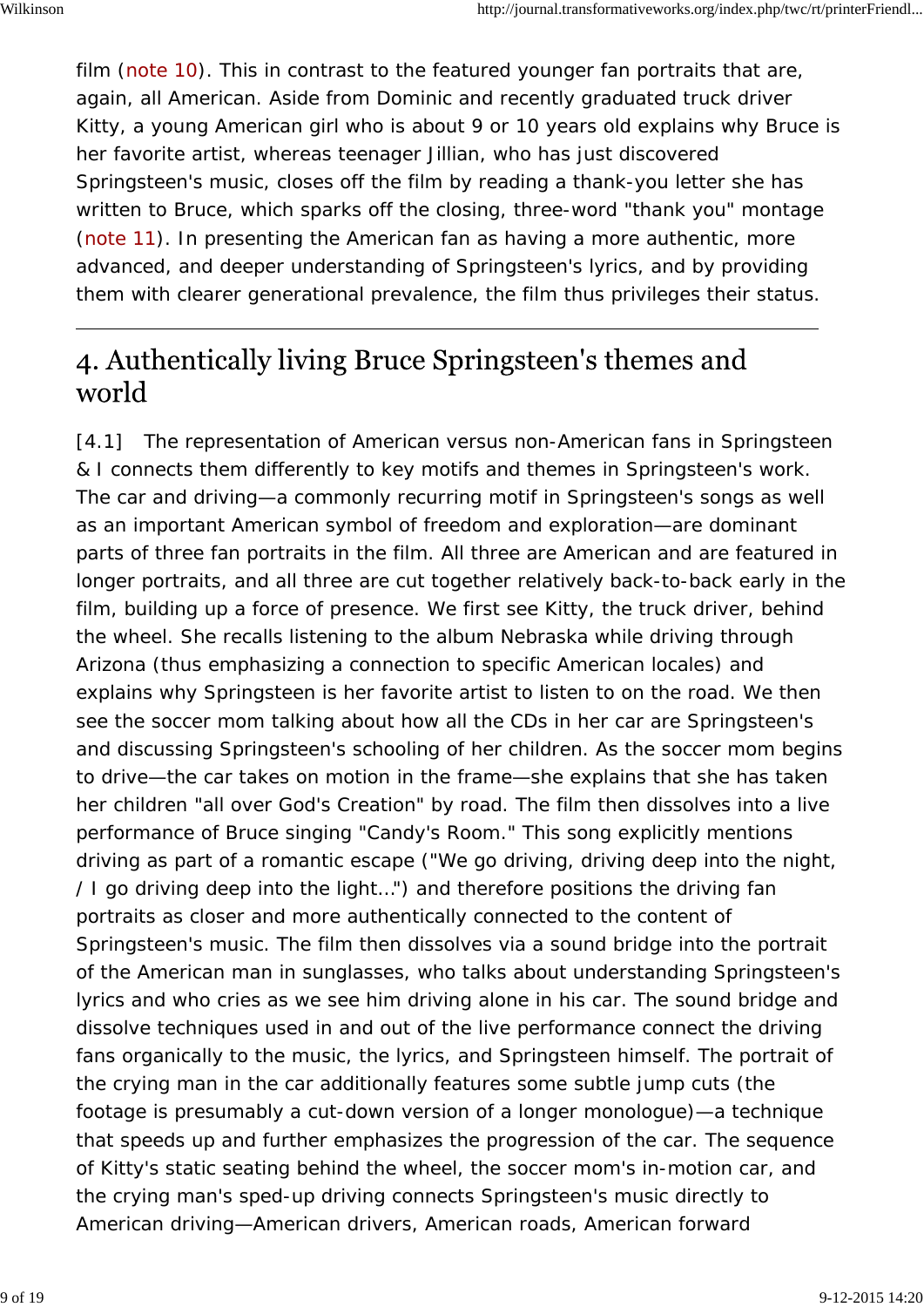film (note 10). This in contrast to the featured younger fan portraits that are, again, all American. Aside from Dominic and recently graduated truck driver Kitty, a young American girl who is about 9 or 10 years old explains why Bruce is her favorite artist, whereas teenager Jillian, who has just discovered Springsteen's music, closes off the film by reading a thank-you letter she has written to Bruce, which sparks off the closing, three-word "thank you" montage (note 11). In presenting the American fan as having a more authentic, more advanced, and deeper understanding of Springsteen's lyrics, and by providing them with clearer generational prevalence, the film thus privileges their status.

## 4. Authentically living Bruce Springsteen's themes and world

[4.1] The representation of American versus non-American fans in *Springsteen & I* connects them differently to key motifs and themes in Springsteen's work. The car and driving—a commonly recurring motif in Springsteen's songs as well as an important American symbol of freedom and exploration—are dominant parts of three fan portraits in the film. All three are American and are featured in longer portraits, and all three are cut together relatively back-to-back early in the film, building up a force of presence. We first see Kitty, the truck driver, behind the wheel. She recalls listening to the album *Nebraska* while driving through Arizona (thus emphasizing a connection to specific American locales) and explains why Springsteen is her favorite artist to listen to on the road. We then see the soccer mom talking about how all the CDs in her car are Springsteen's and discussing Springsteen's schooling of her children. As the soccer mom begins to drive—the car takes on motion in the frame—she explains that she has taken her children "all over God's Creation" by road. The film then dissolves into a live performance of Bruce singing "Candy's Room." This song explicitly mentions driving as part of a romantic escape ("We go driving, driving deep into the night, / I go driving deep into the light…") and therefore positions the driving fan portraits as closer and more authentically connected to the content of Springsteen's music. The film then dissolves via a sound bridge into the portrait of the American man in sunglasses, who talks about understanding Springsteen's lyrics and who cries as we see him driving alone in his car. The sound bridge and dissolve techniques used in and out of the live performance connect the driving fans organically to the music, the lyrics, and Springsteen himself. The portrait of the crying man in the car additionally features some subtle jump cuts (the footage is presumably a cut-down version of a longer monologue)—a technique that speeds up and further emphasizes the progression of the car. The sequence of Kitty's static seating behind the wheel, the soccer mom's in-motion car, and the crying man's sped-up driving connects Springsteen's music directly to American driving—American drivers, American roads, American forward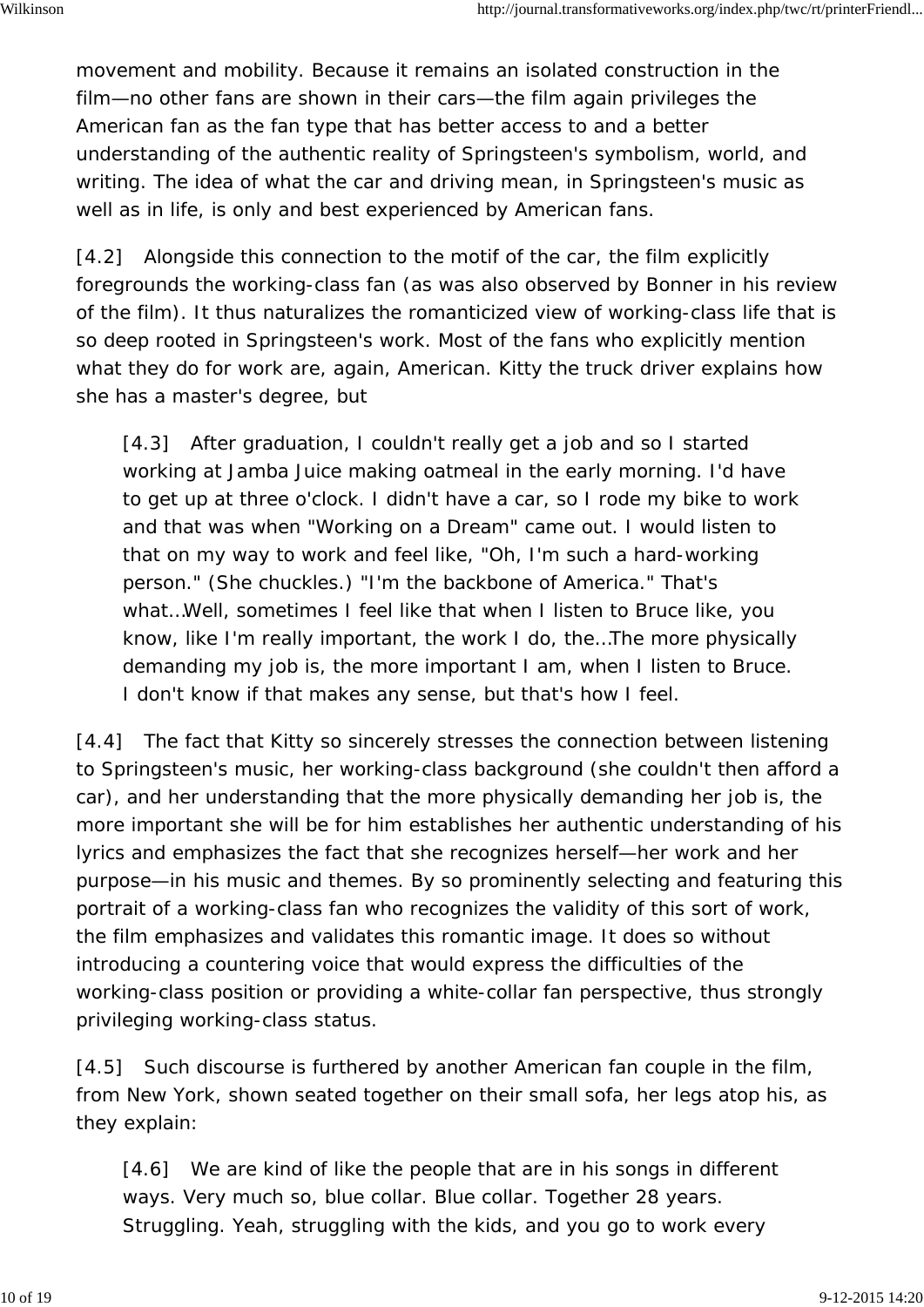movement and mobility. Because it remains an isolated construction in the film—no other fans are shown in their cars—the film again privileges the American fan as the fan type that has better access to and a better understanding of the authentic reality of Springsteen's symbolism, world, and writing. The idea of what the car and driving mean, in Springsteen's music as well as in life, is only and best experienced by American fans.

[4.2] Alongside this connection to the motif of the car, the film explicitly foregrounds the working-class fan (as was also observed by Bonner in his review of the film). It thus naturalizes the romanticized view of working-class life that is so deep rooted in Springsteen's work. Most of the fans who explicitly mention what they do for work are, again, American. Kitty the truck driver explains how she has a master's degree, but

[4.3] After graduation, I couldn't really get a job and so I started working at Jamba Juice making oatmeal in the early morning. I'd have to get up at three o'clock. I didn't have a car, so I rode my bike to work and that was when "Working on a Dream" came out. I would listen to that on my way to work and feel like, "Oh, I'm such a hard-working person." (*She chuckles.*) "I'm the backbone of America." That's what…Well, sometimes I feel like that when I listen to Bruce like, you know, like I'm really important, the work I do, the…The more physically demanding my job is, the more important I am, when I listen to Bruce. I don't know if that makes any sense, but that's how I feel.

[4.4] The fact that Kitty so sincerely stresses the connection between listening to Springsteen's music, her working-class background (she couldn't then afford a car), and her understanding that the more physically demanding her job is, the more important she will be for him establishes her authentic understanding of his lyrics and emphasizes the fact that she recognizes herself—her work and her purpose—in his music and themes. By so prominently selecting and featuring this portrait of a working-class fan who recognizes the validity of this sort of work, the film emphasizes and validates this romantic image. It does so without introducing a countering voice that would express the difficulties of the working-class position or providing a white-collar fan perspective, thus strongly privileging working-class status.

[4.5] Such discourse is furthered by another American fan couple in the film, from New York, shown seated together on their small sofa, her legs atop his, as they explain:

[4.6] We are kind of like the people that are in his songs in different ways. Very much so, blue collar. Blue collar. Together 28 years. Struggling. Yeah, struggling with the kids, and you go to work every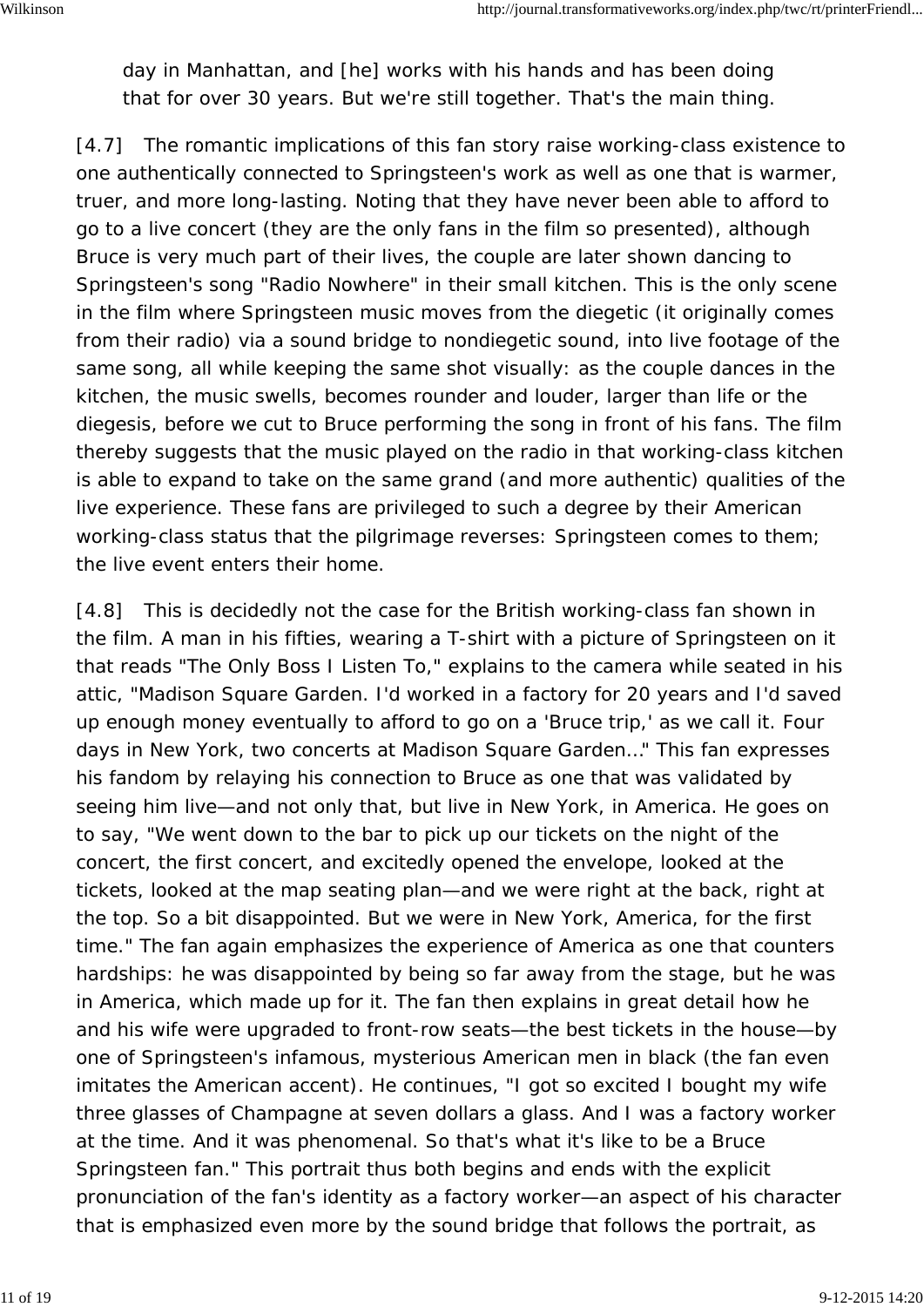day in Manhattan, and [he] works with his hands and has been doing that for over 30 years. But we're still together. That's the main thing.

[4.7] The romantic implications of this fan story raise working-class existence to one authentically connected to Springsteen's work as well as one that is warmer, truer, and more long-lasting. Noting that they have never been able to afford to go to a live concert (they are the only fans in the film so presented), although Bruce is very much part of their lives, the couple are later shown dancing to Springsteen's song "Radio Nowhere" in their small kitchen. This is the only scene in the film where Springsteen music moves from the diegetic (it originally comes from their radio) via a sound bridge to nondiegetic sound, into live footage of the same song, all while keeping the same shot visually: as the couple dances in the kitchen, the music swells, becomes rounder and louder, larger than life or the diegesis, before we cut to Bruce performing the song in front of his fans. The film thereby suggests that the music played on the radio in that working-class kitchen is able to expand to take on the same grand (and more authentic) qualities of the live experience. These fans are privileged to such a degree by their American working-class status that the pilgrimage reverses: Springsteen comes to them; the live event enters their home.

[4.8] This is decidedly not the case for the British working-class fan shown in the film. A man in his fifties, wearing a T-shirt with a picture of Springsteen on it that reads "The Only Boss I Listen To," explains to the camera while seated in his attic, "Madison Square Garden. I'd worked in a factory for 20 years and I'd saved up enough money eventually to afford to go on a 'Bruce trip,' as we call it. Four days in New York, two concerts at Madison Square Garden…" This fan expresses his fandom by relaying his connection to Bruce as one that was validated by seeing him live—and not only that, but live in New York, in America. He goes on to say, "We went down to the bar to pick up our tickets on the night of the concert, the first concert, and excitedly opened the envelope, looked at the tickets, looked at the map seating plan—and we were right at the back, right at the top. So a bit disappointed. But we were in New York, America, for the first time." The fan again emphasizes the experience of America as one that counters hardships: he was disappointed by being so far away from the stage, but he was in America, which made up for it. The fan then explains in great detail how he and his wife were upgraded to front-row seats—the best tickets in the house—by one of Springsteen's infamous, mysterious American men in black (the fan even imitates the American accent). He continues, "I got so excited I bought my wife three glasses of Champagne at seven dollars a glass. And I was a factory worker at the time. And it was phenomenal. So that's what it's like to be a Bruce Springsteen fan." This portrait thus both begins and ends with the explicit pronunciation of the fan's identity as a factory worker—an aspect of his character that is emphasized even more by the sound bridge that follows the portrait, as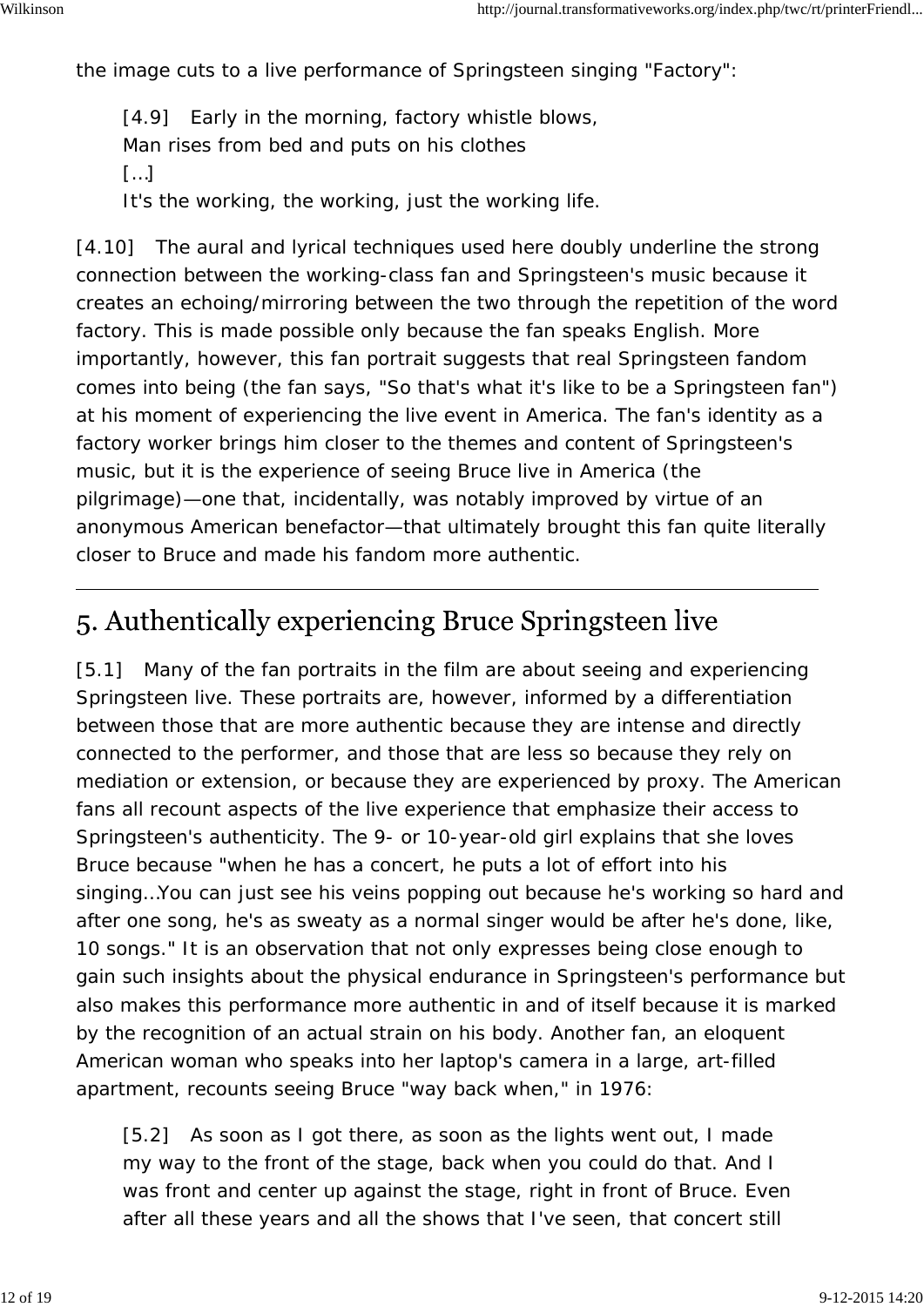the image cuts to a live performance of Springsteen singing "Factory":

[4.9] Early in the morning, factory whistle blows, Man rises from bed and puts on his clothes […] It's the working, the working, just the working life.

[4.10] The aural and lyrical techniques used here doubly underline the strong connection between the working-class fan and Springsteen's music because it creates an echoing/mirroring between the two through the repetition of the word *factory.* This is made possible only because the fan speaks English. More importantly, however, this fan portrait suggests that real Springsteen fandom comes into being (the fan says, "So *that*'s what it's like to be a Springsteen fan") at his moment of experiencing the live event in America. The fan's identity as a factory worker brings him closer to the themes and content of Springsteen's music, but it is the experience of seeing Bruce live in America (the pilgrimage)—one that, incidentally, was notably improved by virtue of an anonymous American benefactor—that ultimately brought this fan quite literally closer to Bruce and made his fandom more authentic.

## 5. Authentically experiencing Bruce Springsteen live

[5.1] Many of the fan portraits in the film are about seeing and experiencing Springsteen live. These portraits are, however, informed by a differentiation between those that are more authentic because they are intense and directly connected to the performer, and those that are less so because they rely on mediation or extension, or because they are experienced by proxy. The American fans all recount aspects of the live experience that emphasize their access to Springsteen's authenticity. The 9- or 10-year-old girl explains that she loves Bruce because "when he has a concert, he puts a lot of effort into his singing…You can just see his veins popping out because he's working so hard and after one song, he's as sweaty as a normal singer would be after he's done, like, 10 songs." It is an observation that not only expresses being close enough to gain such insights about the physical endurance in Springsteen's performance but also makes this performance more authentic in and of itself because it is marked by the recognition of an actual strain on his body. Another fan, an eloquent American woman who speaks into her laptop's camera in a large, art-filled apartment, recounts seeing Bruce "way back when," in 1976:

[5.2] As soon as I got there, as soon as the lights went out, I made my way to the front of the stage, back when you could do that. And I was front and center up against the stage, right in front of Bruce. Even after all these years and all the shows that I've seen, that concert still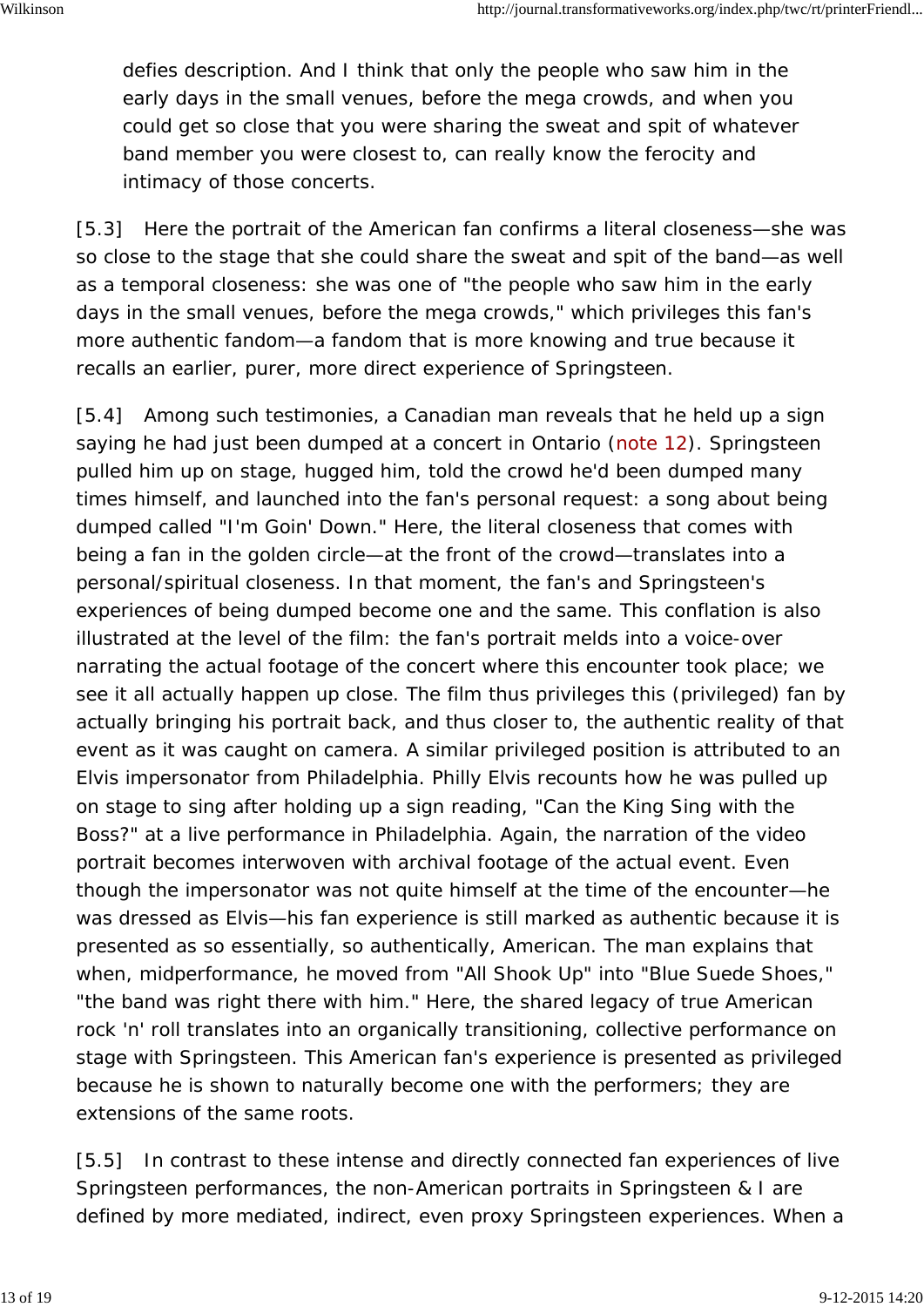defies description. And I think that only the people who saw him in the early days in the small venues, before the mega crowds, and when you could get so close that you were sharing the sweat and spit of whatever band member you were closest to, can really know the ferocity and intimacy of those concerts.

[5.3] Here the portrait of the American fan confirms a literal closeness—she was so close to the stage that she could share the sweat and spit of the band—as well as a temporal closeness: she was one of "the people who saw him in the early days in the small venues, before the mega crowds," which privileges this fan's more authentic fandom—a fandom that is more knowing and true because it recalls an earlier, purer, more direct experience of Springsteen.

[5.4] Among such testimonies, a Canadian man reveals that he held up a sign saying he had just been dumped at a concert in Ontario (note 12). Springsteen pulled him up on stage, hugged him, told the crowd he'd been dumped many times himself, and launched into the fan's personal request: a song about being dumped called "I'm Goin' Down." Here, the literal closeness that comes with being a fan in the golden circle—at the front of the crowd—translates into a personal/spiritual closeness. In that moment, the fan's and Springsteen's experiences of being dumped become one and the same. This conflation is also illustrated at the level of the film: the fan's portrait melds into a voice-over narrating the actual footage of the concert where this encounter took place; we see it all actually happen up close. The film thus privileges this (privileged) fan by actually bringing his portrait back, and thus closer to, the authentic reality of that event as it was caught on camera. A similar privileged position is attributed to an Elvis impersonator from Philadelphia. Philly Elvis recounts how he was pulled up on stage to sing after holding up a sign reading, "Can the King Sing with the Boss?" at a live performance in Philadelphia. Again, the narration of the video portrait becomes interwoven with archival footage of the actual event. Even though the impersonator was not quite himself at the time of the encounter—he was dressed as Elvis—his fan experience is still marked as authentic because it is presented as so essentially, so authentically, American. The man explains that when, midperformance, he moved from "All Shook Up" into "Blue Suede Shoes," "the band was right there with him." Here, the shared legacy of true American rock 'n' roll translates into an organically transitioning, collective performance on stage with Springsteen. This American fan's experience is presented as privileged because he is shown to naturally become one with the performers; they are extensions of the same roots.

[5.5] In contrast to these intense and directly connected fan experiences of live Springsteen performances, the non-American portraits in *Springsteen & I* are defined by more mediated, indirect, even proxy Springsteen experiences. When a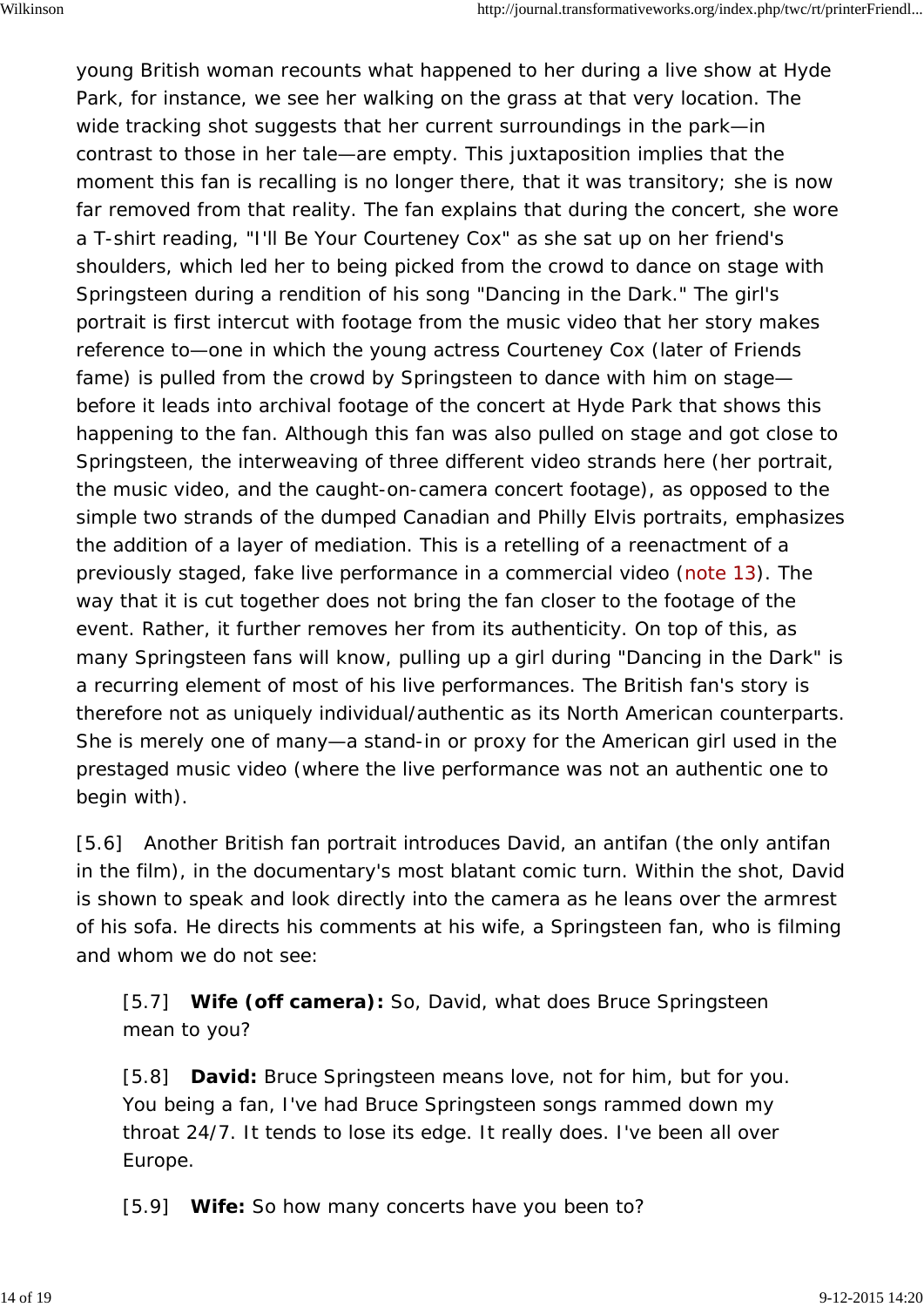young British woman recounts what happened to her during a live show at Hyde Park, for instance, we see her walking on the grass at that very location. The wide tracking shot suggests that her current surroundings in the park—in contrast to those in her tale—are empty. This juxtaposition implies that the moment this fan is recalling is no longer there, that it was transitory; she is now far removed from that reality. The fan explains that during the concert, she wore a T-shirt reading, "I'll Be Your Courteney Cox" as she sat up on her friend's shoulders, which led her to being picked from the crowd to dance on stage with Springsteen during a rendition of his song "Dancing in the Dark." The girl's portrait is first intercut with footage from the music video that her story makes reference to—one in which the young actress Courteney Cox (later of *Friends* fame) is pulled from the crowd by Springsteen to dance with him on stage before it leads into archival footage of the concert at Hyde Park that shows this happening to the fan. Although this fan was also pulled on stage and got close to Springsteen, the interweaving of three different video strands here (her portrait, the music video, and the caught-on-camera concert footage), as opposed to the simple two strands of the dumped Canadian and Philly Elvis portraits, emphasizes the addition of a layer of mediation. This is a retelling of a reenactment of a previously staged, fake live performance in a commercial video (note 13). The way that it is cut together does not bring the fan closer to the footage of the event. Rather, it further removes her from its authenticity. On top of this, as many Springsteen fans will know, pulling up a girl during "Dancing in the Dark" is a recurring element of most of his live performances. The British fan's story is therefore not as uniquely individual/authentic as its North American counterparts. She is merely one of many—a stand-in or proxy for the American girl used in the prestaged music video (where the live performance was not an authentic one to begin with).

[5.6] Another British fan portrait introduces David, an antifan (the only antifan in the film), in the documentary's most blatant comic turn. Within the shot, David is shown to speak and look directly into the camera as he leans over the armrest of his sofa. He directs his comments at his wife, a Springsteen fan, who is filming and whom we do not see:

[5.7] **Wife (off camera):** So, David, what does Bruce Springsteen mean to you?

[5.8] **David:** Bruce Springsteen means love, not for him, but for you. You being a fan, I've had Bruce Springsteen songs rammed down my throat 24/7. It tends to lose its edge. It really does. I've been all over Europe.

[5.9] **Wife:** So how many concerts have you been to?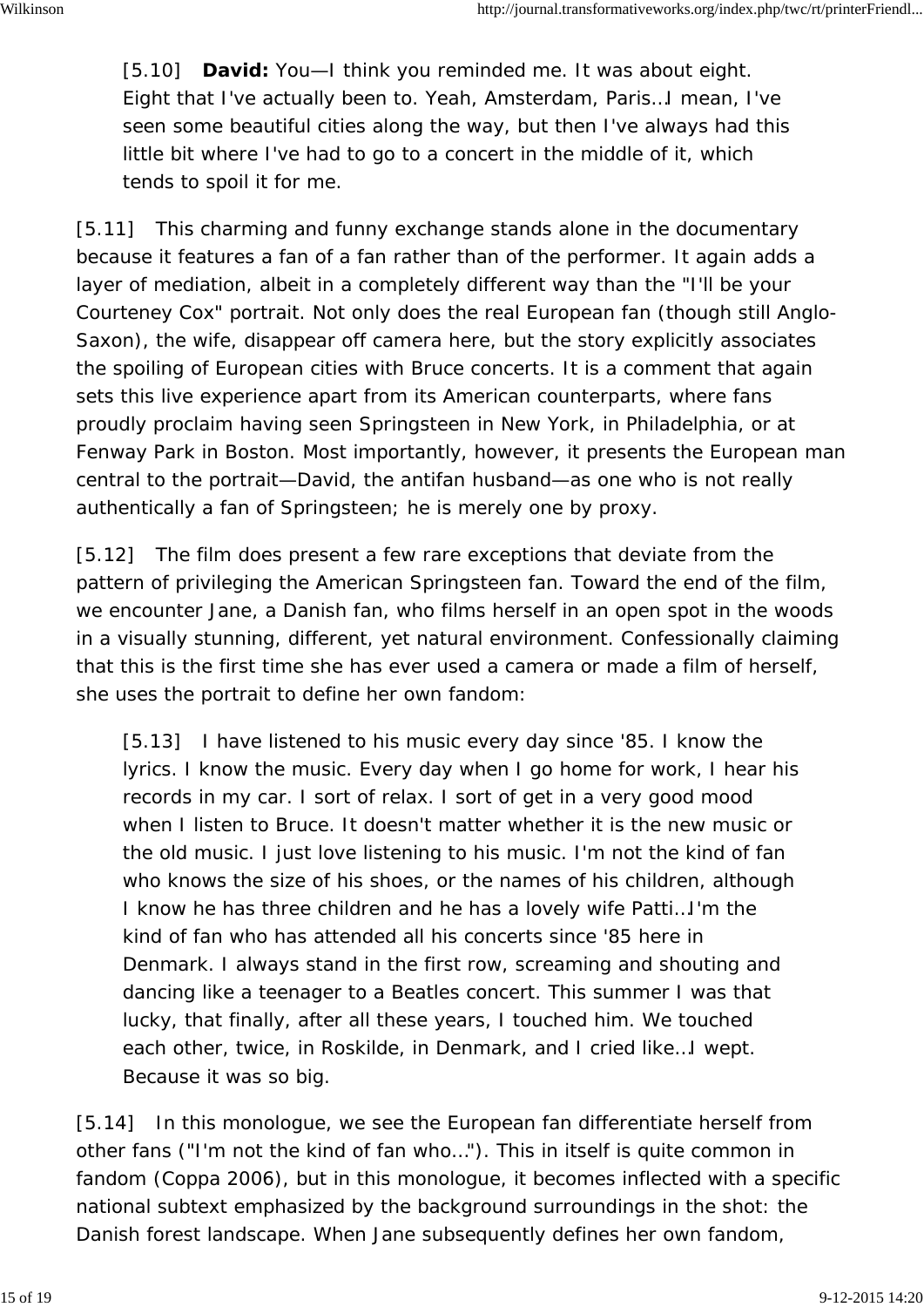[5.10] **David:** You—I think you reminded me. It was about eight. Eight that I've actually been to. Yeah, Amsterdam, Paris…I mean, I've seen some beautiful cities along the way, but then I've always had this little bit where I've had to go to a concert in the middle of it, which tends to spoil it for me.

[5.11] This charming and funny exchange stands alone in the documentary because it features a fan of a fan rather than of the performer. It again adds a layer of mediation, albeit in a completely different way than the "I'll be your Courteney Cox" portrait. Not only does the real European fan (though still Anglo-Saxon), the wife, disappear off camera here, but the story explicitly associates the spoiling of European cities with Bruce concerts. It is a comment that again sets this live experience apart from its American counterparts, where fans proudly proclaim having seen Springsteen in New York, in Philadelphia, or at Fenway Park in Boston. Most importantly, however, it presents the European man central to the portrait—David, the antifan husband—as one who is not really authentically a fan of Springsteen; he is merely one by proxy.

[5.12] The film does present a few rare exceptions that deviate from the pattern of privileging the American Springsteen fan. Toward the end of the film, we encounter Jane, a Danish fan, who films herself in an open spot in the woods in a visually stunning, different, yet natural environment. Confessionally claiming that this is the first time she has ever used a camera or made a film of herself, she uses the portrait to define her own fandom:

[5.13] I have listened to his music every day since '85. I know the lyrics. I know the music. Every day when I go home for work, I hear his records in my car. I sort of relax. I sort of get in a very good mood when I listen to Bruce. It doesn't matter whether it is the new music or the old music. I just love listening to his music. I'm not the kind of fan who knows the size of his shoes, or the names of his children, although I know he has three children and he has a lovely wife Patti…I'm the kind of fan who has attended all his concerts since '85 here in Denmark. I always stand in the first row, screaming and shouting and dancing like a teenager to a Beatles concert. This summer I was that lucky, that finally, after all these years, I touched him. We touched each other, twice, in Roskilde, in Denmark, and I cried like…I wept. Because it was so big.

[5.14] In this monologue, we see the European fan differentiate herself from other fans ("I'm not the kind of fan who…"). This in itself is quite common in fandom (Coppa 2006), but in this monologue, it becomes inflected with a specific national subtext emphasized by the background surroundings in the shot: the Danish forest landscape. When Jane subsequently defines her own fandom,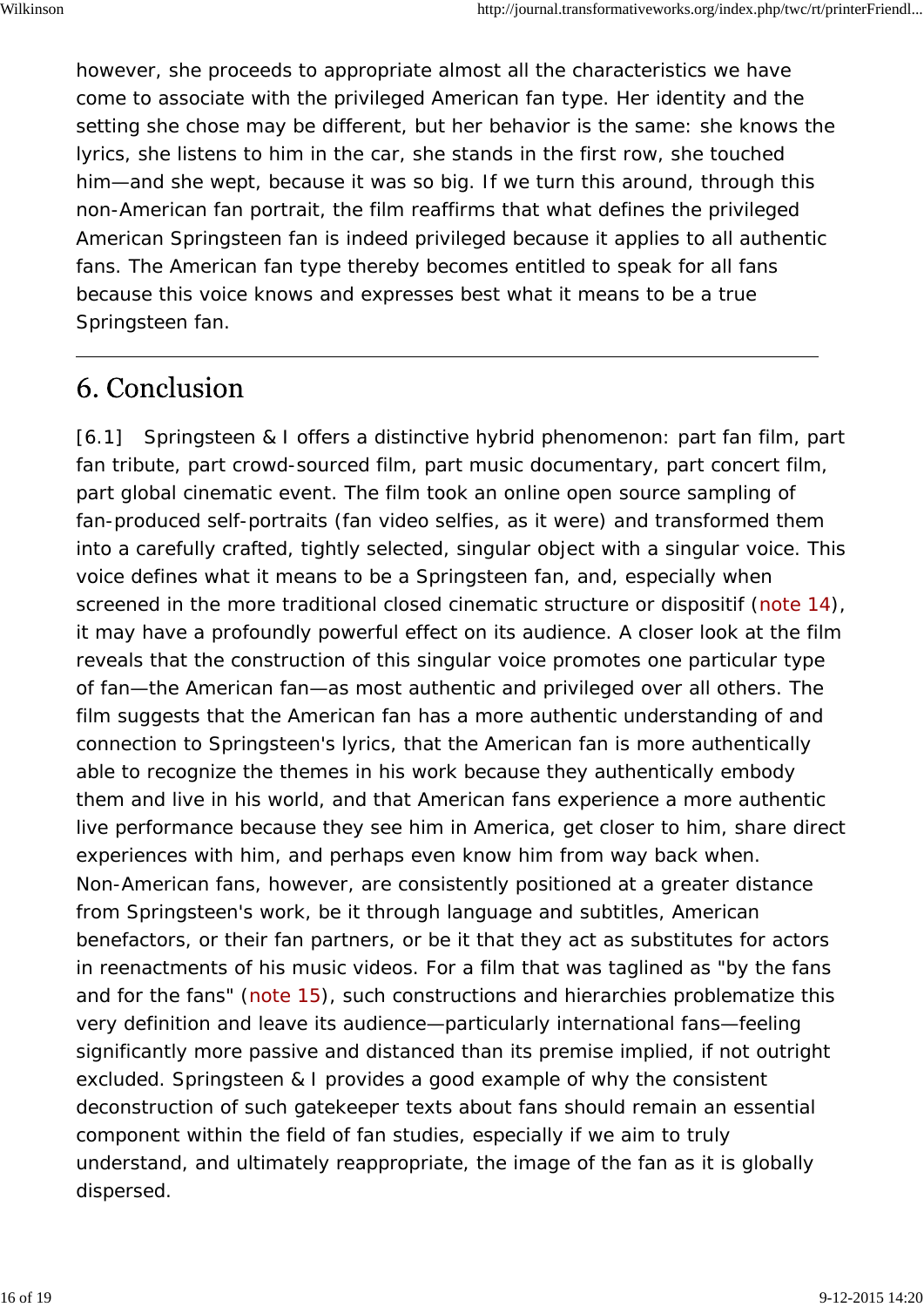however, she proceeds to appropriate almost all the characteristics we have come to associate with the privileged American fan type. Her identity and the setting she chose may be different, but her behavior is the same: she knows the lyrics, she listens to him in the car, she stands in the first row, she touched him—and she wept, because it was so big. If we turn this around, through this non-American fan portrait, the film reaffirms that what defines the privileged American Springsteen fan is indeed privileged because it applies to all authentic fans. The American fan type thereby becomes entitled to speak for all fans because this voice knows and expresses best what it means to be a true Springsteen fan.

## 6. Conclusion

[6.1] *Springsteen & I* offers a distinctive hybrid phenomenon: part fan film, part fan tribute, part crowd-sourced film, part music documentary, part concert film, part global cinematic event. The film took an online open source sampling of fan-produced self-portraits (fan video selfies, as it were) and transformed them into a carefully crafted, tightly selected, singular object with a singular voice. This voice defines what it means to be a Springsteen fan, and, especially when screened in the more traditional closed cinematic structure or *dispositif* (note 14), it may have a profoundly powerful effect on its audience. A closer look at the film reveals that the construction of this singular voice promotes one particular type of fan—the American fan—as most authentic and privileged over all others. The film suggests that the American fan has a more authentic understanding of and connection to Springsteen's lyrics, that the American fan is more authentically able to recognize the themes in his work because they authentically embody them and live in his world, and that American fans experience a more authentic live performance because they see him in America, get closer to him, share direct experiences with him, and perhaps even know him from way back when. Non-American fans, however, are consistently positioned at a greater distance from Springsteen's work, be it through language and subtitles, American benefactors, or their fan partners, or be it that they act as substitutes for actors in reenactments of his music videos. For a film that was taglined as "by the fans and for the fans" (note 15), such constructions and hierarchies problematize this very definition and leave its audience—particularly international fans—feeling significantly more passive and distanced than its premise implied, if not outright excluded. *Springsteen & I* provides a good example of why the consistent deconstruction of such gatekeeper texts about fans should remain an essential component within the field of fan studies, especially if we aim to truly understand, and ultimately reappropriate, the image of the fan as it is globally dispersed.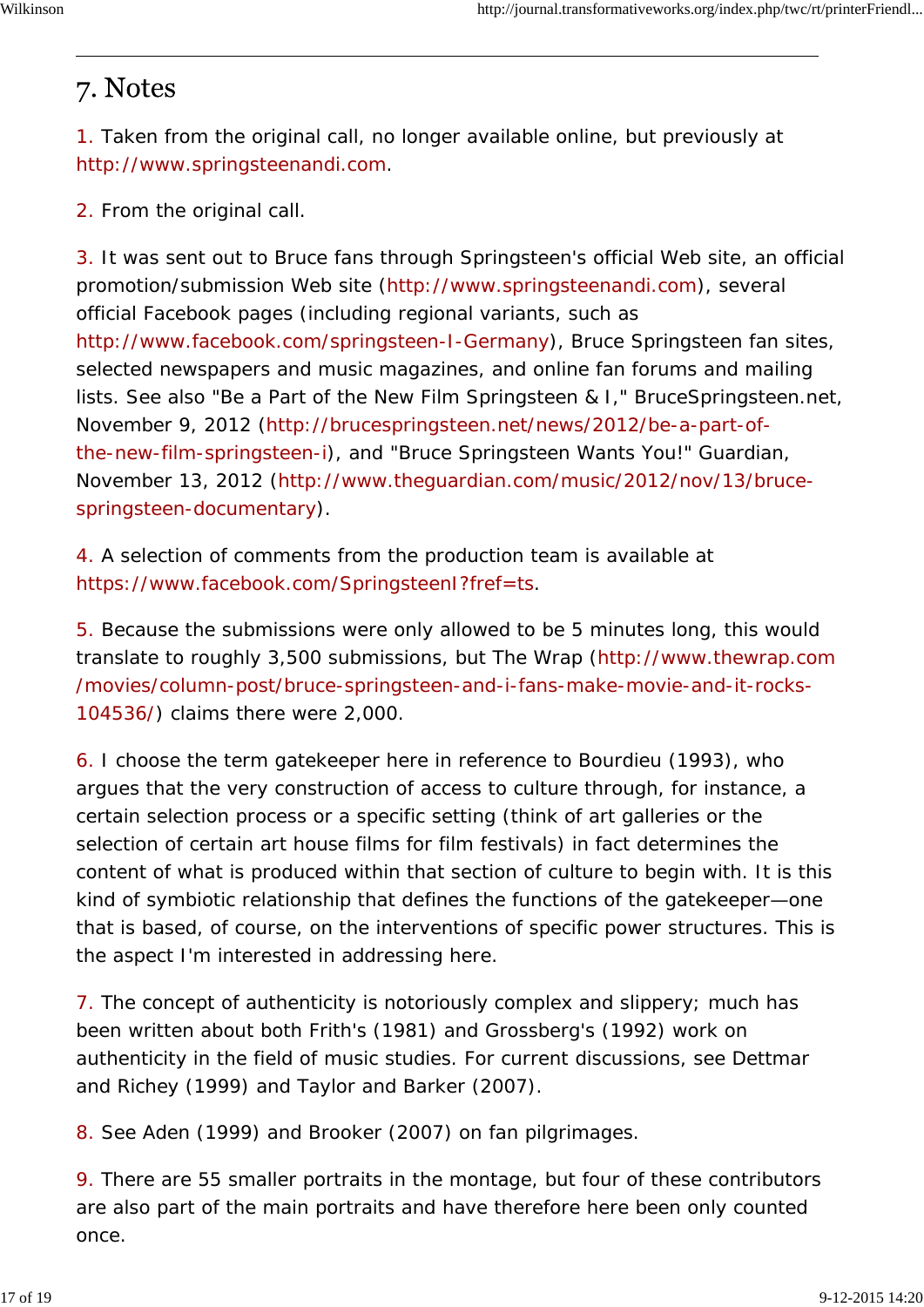### 7. Notes

1. Taken from the original call, no longer available online, but previously at http://www.springsteenandi.com.

2. From the original call.

3. It was sent out to Bruce fans through Springsteen's official Web site, an official promotion/submission Web site (http://www.springsteenandi.com), several official Facebook pages (including regional variants, such as http://www.facebook.com/springsteen-I-Germany), Bruce Springsteen fan sites, selected newspapers and music magazines, and online fan forums and mailing lists. See also "Be a Part of the New Film *Springsteen & I,"* BruceSpringsteen.net, November 9, 2012 (http://brucespringsteen.net/news/2012/be-a-part-ofthe-new-film-springsteen-i), and "Bruce Springsteen Wants You!" *Guardian,* November 13, 2012 (http://www.theguardian.com/music/2012/nov/13/brucespringsteen-documentary).

4. A selection of comments from the production team is available at https://www.facebook.com/SpringsteenI?fref=ts.

5. Because the submissions were only allowed to be 5 minutes long, this would translate to roughly 3,500 submissions, but The Wrap (http://www.thewrap.com /movies/column-post/bruce-springsteen-and-i-fans-make-movie-and-it-rocks-104536/) claims there were 2,000.

6. I choose the term *gatekeeper* here in reference to Bourdieu (1993), who argues that the very construction of access to culture through, for instance, a certain selection process or a specific setting (think of art galleries or the selection of certain art house films for film festivals) in fact determines the content of what is produced within that section of culture to begin with. It is this kind of symbiotic relationship that defines the functions of the gatekeeper—one that is based, of course, on the interventions of specific power structures. This is the aspect I'm interested in addressing here.

7. The concept of authenticity is notoriously complex and slippery; much has been written about both Frith's (1981) and Grossberg's (1992) work on authenticity in the field of music studies. For current discussions, see Dettmar and Richey (1999) and Taylor and Barker (2007).

8. See Aden (1999) and Brooker (2007) on fan pilgrimages.

9. There are 55 smaller portraits in the montage, but four of these contributors are also part of the main portraits and have therefore here been only counted once.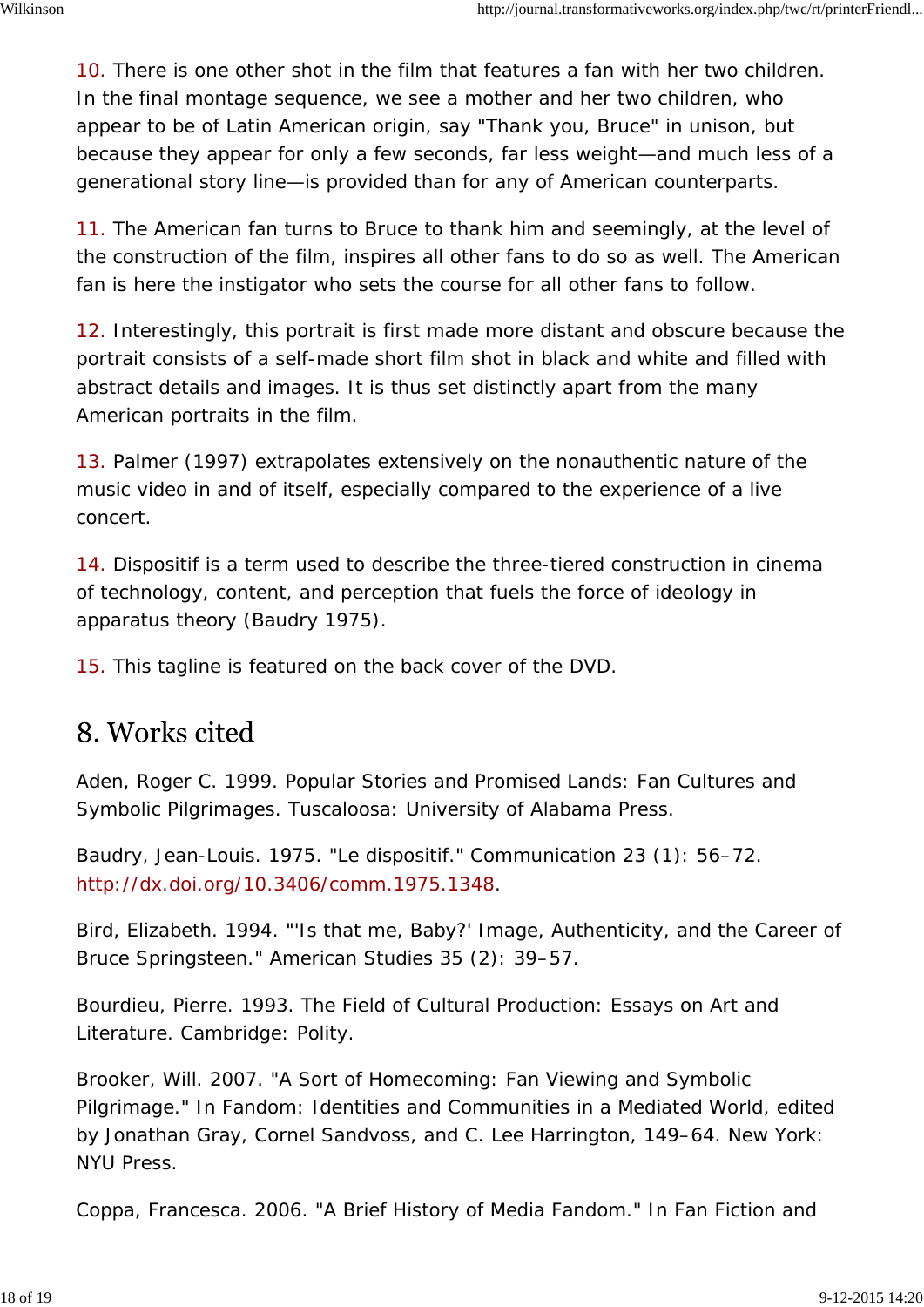10. There is one other shot in the film that features a fan with her two children. In the final montage sequence, we see a mother and her two children, who appear to be of Latin American origin, say "Thank you, Bruce" in unison, but because they appear for only a few seconds, far less weight—and much less of a generational story line—is provided than for any of American counterparts.

11. The American fan turns to Bruce to thank him and seemingly, at the level of the construction of the film, inspires all other fans to do so as well. The American fan is here the instigator who sets the course for all other fans to follow.

12. Interestingly, this portrait is first made more distant and obscure because the portrait consists of a self-made short film shot in black and white and filled with abstract details and images. It is thus set distinctly apart from the many American portraits in the film.

13. Palmer (1997) extrapolates extensively on the nonauthentic nature of the music video in and of itself, especially compared to the experience of a live concert.

14. *Dispositif* is a term used to describe the three-tiered construction in cinema of technology, content, and perception that fuels the force of ideology in apparatus theory (Baudry 1975).

15. This tagline is featured on the back cover of the DVD.

### 8. Works cited

Aden, Roger C. 1999. *Popular Stories and Promised Lands: Fan Cultures and Symbolic Pilgrimages*. Tuscaloosa: University of Alabama Press.

Baudry, Jean-Louis. 1975. "Le dispositif." *Communication* 23 (1): 56–72. http://dx.doi.org/10.3406/comm.1975.1348.

Bird, Elizabeth. 1994. "'Is that me, Baby?' Image, Authenticity, and the Career of Bruce Springsteen." *American Studies* 35 (2): 39–57.

Bourdieu, Pierre. 1993. *The Field of Cultural Production: Essays on Art and Literature*. Cambridge: Polity.

Brooker, Will. 2007. "A Sort of Homecoming: Fan Viewing and Symbolic Pilgrimage." In *Fandom: Identities and Communities in a Mediated World,* edited by Jonathan Gray, Cornel Sandvoss, and C. Lee Harrington, 149–64. New York: NYU Press.

Coppa, Francesca. 2006. "A Brief History of Media Fandom." In *Fan Fiction and*